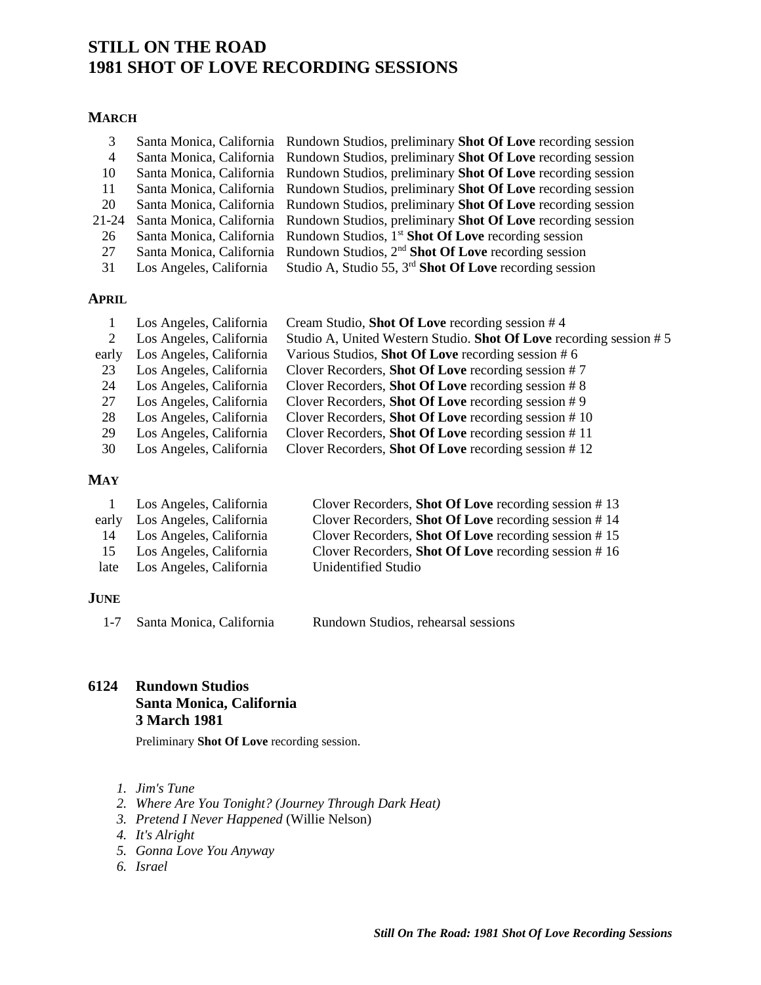# **STILL ON THE ROAD 1981 SHOT OF LOVE RECORDING SESSIONS**

## **MARCH**

| 3            |                          | Santa Monica, California Rundown Studios, preliminary Shot Of Love recording session        |
|--------------|--------------------------|---------------------------------------------------------------------------------------------|
| 4            |                          | Santa Monica, California Rundown Studios, preliminary Shot Of Love recording session        |
| 10           |                          | Santa Monica, California Rundown Studios, preliminary <b>Shot Of Love</b> recording session |
| 11           |                          | Santa Monica, California Rundown Studios, preliminary <b>Shot Of Love</b> recording session |
| 20           |                          | Santa Monica, California Rundown Studios, preliminary <b>Shot Of Love</b> recording session |
| $21 - 24$    |                          | Santa Monica, California Rundown Studios, preliminary Shot Of Love recording session        |
| 26           |                          | Santa Monica, California Rundown Studios, 1 <sup>st</sup> Shot Of Love recording session    |
| 27           | Santa Monica, California | Rundown Studios, 2 <sup>nd</sup> Shot Of Love recording session                             |
| 31           | Los Angeles, California  | Studio A, Studio 55, $3^{rd}$ Shot Of Love recording session                                |
|              |                          |                                                                                             |
| <b>APRIL</b> |                          |                                                                                             |

|       | Los Angeles, California | Cream Studio, Shot Of Love recording session #4                    |
|-------|-------------------------|--------------------------------------------------------------------|
|       | Los Angeles, California | Studio A, United Western Studio. Shot Of Love recording session #5 |
| early | Los Angeles, California | Various Studios, Shot Of Love recording session #6                 |
| 23    | Los Angeles, California | Clover Recorders, Shot Of Love recording session $#7$              |
| 24    | Los Angeles, California | Clover Recorders, <b>Shot Of Love</b> recording session $# 8$      |
| 27    | Los Angeles, California | Clover Recorders, Shot Of Love recording session $#9$              |
| 28    | Los Angeles, California | Clover Recorders, Shot Of Love recording session $# 10$            |
| 29    | Los Angeles, California | Clover Recorders, Shot Of Love recording session #11               |
| 30    | Los Angeles, California | Clover Recorders, Shot Of Love recording session #12               |

## **MAY**

|      | Los Angeles, California       | Clover Recorders, <b>Shot Of Love</b> recording session $# 13$ |
|------|-------------------------------|----------------------------------------------------------------|
|      | early Los Angeles, California | Clover Recorders, <b>Shot Of Love</b> recording session $# 14$ |
| 14   | Los Angeles, California       | Clover Recorders, <b>Shot Of Love</b> recording session $# 15$ |
| 15   | Los Angeles, California       | Clover Recorders, <b>Shot Of Love</b> recording session $# 16$ |
| late | Los Angeles, California       | Unidentified Studio                                            |

## **JUNE**

1-7 [Santa Monica, California](#page-6-0) Rundown Studios, rehearsal sessions

**6124 Rundown Studios Santa Monica, California 3 March 1981**

Preliminary **Shot Of Love** recording session.

- *1. Jim's Tune*
- *2. Where Are You Tonight? (Journey Through Dark Heat)*
- *3. Pretend I Never Happened* (Willie Nelson)
- *4. It's Alright*
- *5. Gonna Love You Anyway*
- *6. Israel*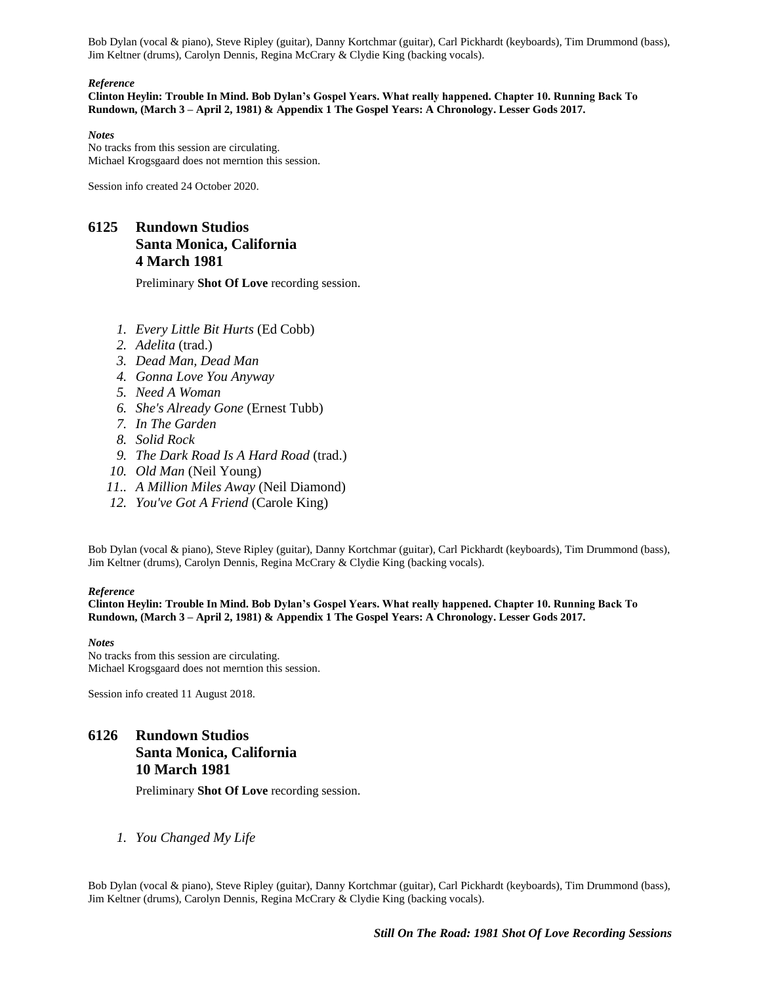Bob Dylan (vocal & piano), Steve Ripley (guitar), Danny Kortchmar (guitar), Carl Pickhardt (keyboards), Tim Drummond (bass), Jim Keltner (drums), Carolyn Dennis, Regina McCrary & Clydie King (backing vocals).

#### *Reference*

**Clinton Heylin: Trouble In Mind. Bob Dylan's Gospel Years. What really happened. Chapter 10. Running Back To Rundown, (March 3 – April 2, 1981) & Appendix 1 The Gospel Years: A Chronology. Lesser Gods 2017.**

*Notes* No tracks from this session are circulating. Michael Krogsgaard does not merntion this session.

Session info created 24 October 2020.

# **6125 Rundown Studios Santa Monica, California 4 March 1981**

Preliminary **Shot Of Love** recording session.

- *1. Every Little Bit Hurts* (Ed Cobb)
- *2. Adelita* (trad.)
- *3. Dead Man, Dead Man*
- *4. Gonna Love You Anyway*
- *5. Need A Woman*
- *6. She's Already Gone* (Ernest Tubb)
- *7. In The Garden*
- *8. Solid Rock*
- *9. The Dark Road Is A Hard Road* (trad.)
- *10. Old Man* (Neil Young)
- *11.. A Million Miles Away* (Neil Diamond)
- *12. You've Got A Friend* (Carole King)

Bob Dylan (vocal & piano), Steve Ripley (guitar), Danny Kortchmar (guitar), Carl Pickhardt (keyboards), Tim Drummond (bass), Jim Keltner (drums), Carolyn Dennis, Regina McCrary & Clydie King (backing vocals).

### *Reference*

**Clinton Heylin: Trouble In Mind. Bob Dylan's Gospel Years. What really happened. Chapter 10. Running Back To Rundown, (March 3 – April 2, 1981) & Appendix 1 The Gospel Years: A Chronology. Lesser Gods 2017.**

### *Notes*

No tracks from this session are circulating. Michael Krogsgaard does not merntion this session.

Session info created 11 August 2018.

# **6126 Rundown Studios Santa Monica, California 10 March 1981**

Preliminary **Shot Of Love** recording session.

*1. You Changed My Life*

Bob Dylan (vocal & piano), Steve Ripley (guitar), Danny Kortchmar (guitar), Carl Pickhardt (keyboards), Tim Drummond (bass), Jim Keltner (drums), Carolyn Dennis, Regina McCrary & Clydie King (backing vocals).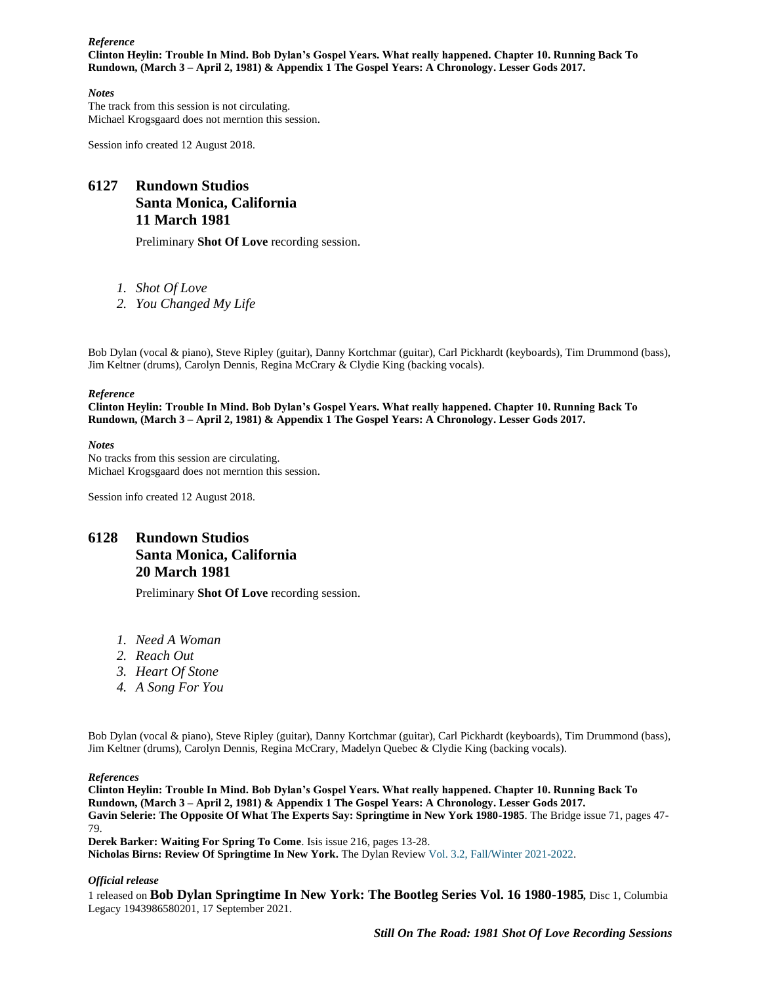#### *Reference* **Clinton Heylin: Trouble In Mind. Bob Dylan's Gospel Years. What really happened. Chapter 10. Running Back To Rundown, (March 3 – April 2, 1981) & Appendix 1 The Gospel Years: A Chronology. Lesser Gods 2017.**

### *Notes*

The track from this session is not circulating. Michael Krogsgaard does not merntion this session.

Session info created 12 August 2018.

# **6127 Rundown Studios Santa Monica, California 11 March 1981**

Preliminary **Shot Of Love** recording session.

- *1. Shot Of Love*
- *2. You Changed My Life*

Bob Dylan (vocal & piano), Steve Ripley (guitar), Danny Kortchmar (guitar), Carl Pickhardt (keyboards), Tim Drummond (bass), Jim Keltner (drums), Carolyn Dennis, Regina McCrary & Clydie King (backing vocals).

#### *Reference*

**Clinton Heylin: Trouble In Mind. Bob Dylan's Gospel Years. What really happened. Chapter 10. Running Back To Rundown, (March 3 – April 2, 1981) & Appendix 1 The Gospel Years: A Chronology. Lesser Gods 2017.**

*Notes* No tracks from this session are circulating. Michael Krogsgaard does not merntion this session.

Session info created 12 August 2018.

## **6128 Rundown Studios Santa Monica, California 20 March 1981**

Preliminary **Shot Of Love** recording session.

- *1. Need A Woman*
- *2. Reach Out*
- *3. Heart Of Stone*
- *4. A Song For You*

Bob Dylan (vocal & piano), Steve Ripley (guitar), Danny Kortchmar (guitar), Carl Pickhardt (keyboards), Tim Drummond (bass), Jim Keltner (drums), Carolyn Dennis, Regina McCrary, Madelyn Quebec & Clydie King (backing vocals).

#### *References*

**Clinton Heylin: Trouble In Mind. Bob Dylan's Gospel Years. What really happened. Chapter 10. Running Back To Rundown, (March 3 – April 2, 1981) & Appendix 1 The Gospel Years: A Chronology. Lesser Gods 2017. Gavin Selerie: The Opposite Of What The Experts Say: Springtime in New York 1980-1985**. The Bridge issue 71, pages 47- 79. **Derek Barker: Waiting For Spring To Come**. Isis issue 216, pages 13-28.

**Nicholas Birns: Review Of Springtime In New York.** The Dylan Review Vol. 3.2, [Fall/Winter](https://thedylanreview.org/category/dylan-review-fall-winter-2021-2022/) 2021-2022.

### *Official release*

1 released on **Bob Dylan Springtime In New York: The Bootleg Series Vol. 16 1980-1985***,* Disc 1, Columbia Legacy 1943986580201, 17 September 2021.

*Still On The Road: 1981 Shot Of Love Recording Sessions*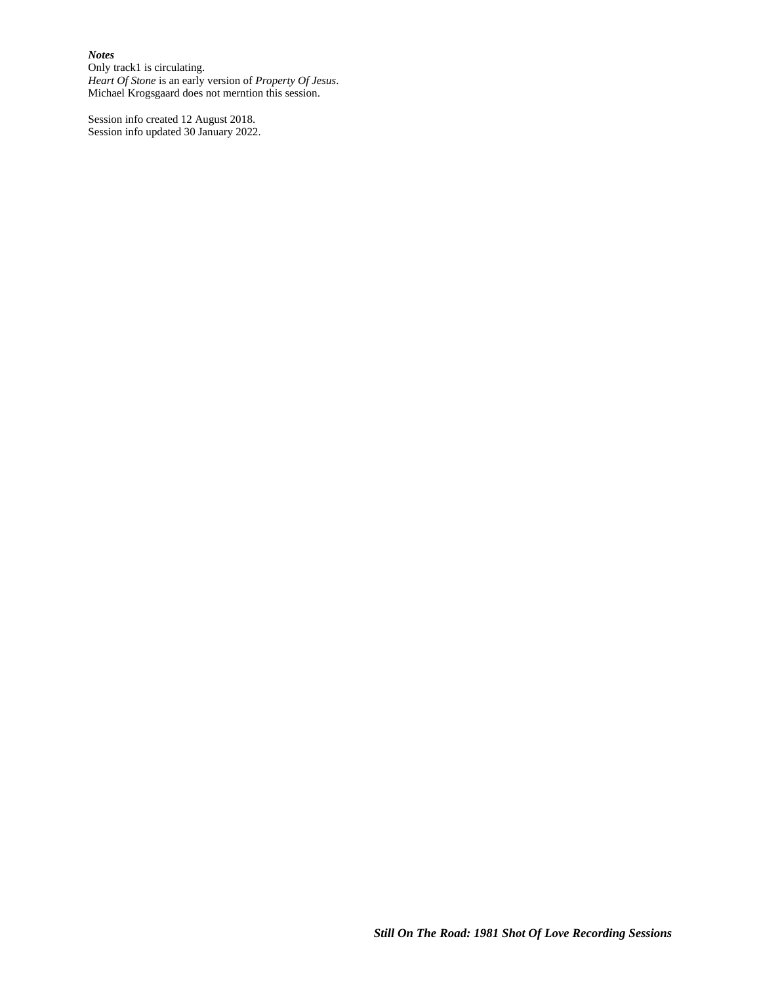#### *Notes*

Only track1 is circulating. *Heart Of Stone* is an early version of *Property Of Jesus*. Michael Krogsgaard does not merntion this session.

Session info created 12 August 2018. Session info updated 30 January 2022.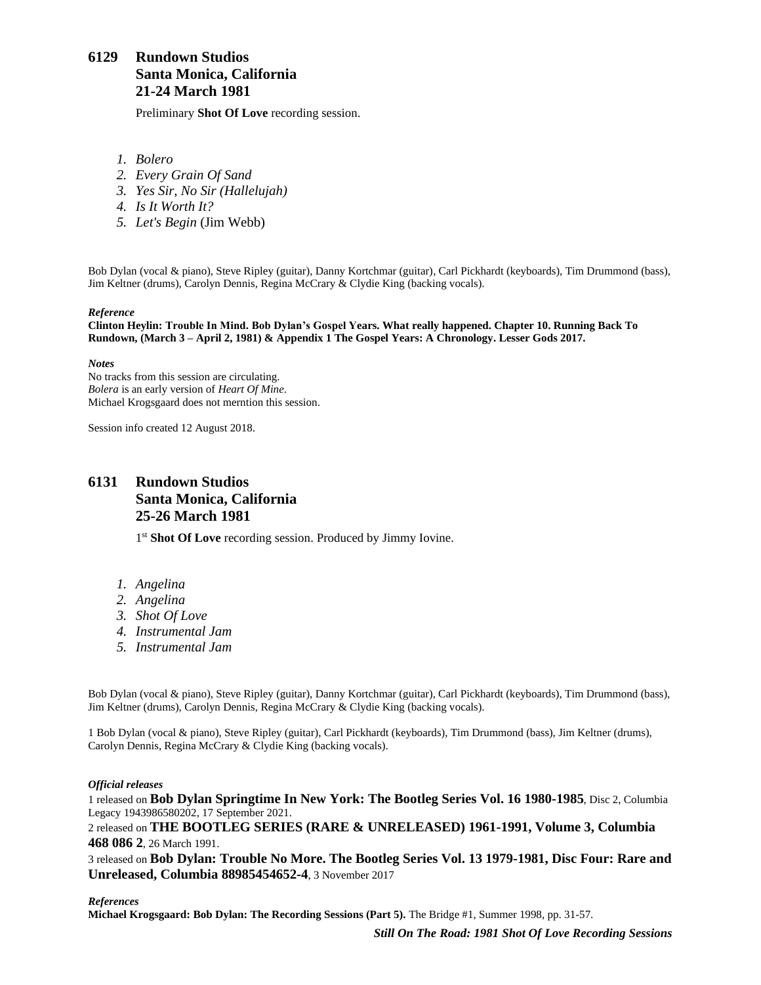# **6129 Rundown Studios Santa Monica, California 21-24 March 1981**

Preliminary **Shot Of Love** recording session.

- *1. Bolero*
- *2. Every Grain Of Sand*
- *3. Yes Sir, No Sir (Hallelujah)*
- *4. Is It Worth It?*
- *5. Let's Begin* (Jim Webb)

Bob Dylan (vocal & piano), Steve Ripley (guitar), Danny Kortchmar (guitar), Carl Pickhardt (keyboards), Tim Drummond (bass), Jim Keltner (drums), Carolyn Dennis, Regina McCrary & Clydie King (backing vocals).

#### *Reference*

**Clinton Heylin: Trouble In Mind. Bob Dylan's Gospel Years. What really happened. Chapter 10. Running Back To Rundown, (March 3 – April 2, 1981) & Appendix 1 The Gospel Years: A Chronology. Lesser Gods 2017.**

*Notes*

No tracks from this session are circulating. *Bolera* is an early version of *Heart Of Mine*. Michael Krogsgaard does not merntion this session.

Session info created 12 August 2018.

## <span id="page-4-0"></span>**6131 Rundown Studios Santa Monica, California 25-26 March 1981**

1<sup>st</sup> Shot Of Love recording session. Produced by Jimmy Iovine.

- *1. Angelina*
- *2. Angelina*
- *3. Shot Of Love*
- *4. Instrumental Jam*
- *5. Instrumental Jam*

Bob Dylan (vocal & piano), Steve Ripley (guitar), Danny Kortchmar (guitar), Carl Pickhardt (keyboards), Tim Drummond (bass), Jim Keltner (drums), Carolyn Dennis, Regina McCrary & Clydie King (backing vocals).

1 Bob Dylan (vocal & piano), Steve Ripley (guitar), Carl Pickhardt (keyboards), Tim Drummond (bass), Jim Keltner (drums), Carolyn Dennis, Regina McCrary & Clydie King (backing vocals).

### *Official releases*

1 released on **Bob Dylan Springtime In New York: The Bootleg Series Vol. 16 1980-1985**, Disc 2, Columbia Legacy 1943986580202, 17 September 2021.

2 released on **THE BOOTLEG SERIES (RARE & UNRELEASED) 1961-1991, Volume 3, Columbia 468 086 2**, 26 March 1991.

3 released on **Bob Dylan: Trouble No More. The Bootleg Series Vol. 13 1979-1981, Disc Four: Rare and Unreleased, Columbia 88985454652-4**, 3 November 2017

### *References*

**Michael Krogsgaard: Bob Dylan: The Recording Sessions (Part 5).** The Bridge #1, Summer 1998, pp. 31-57.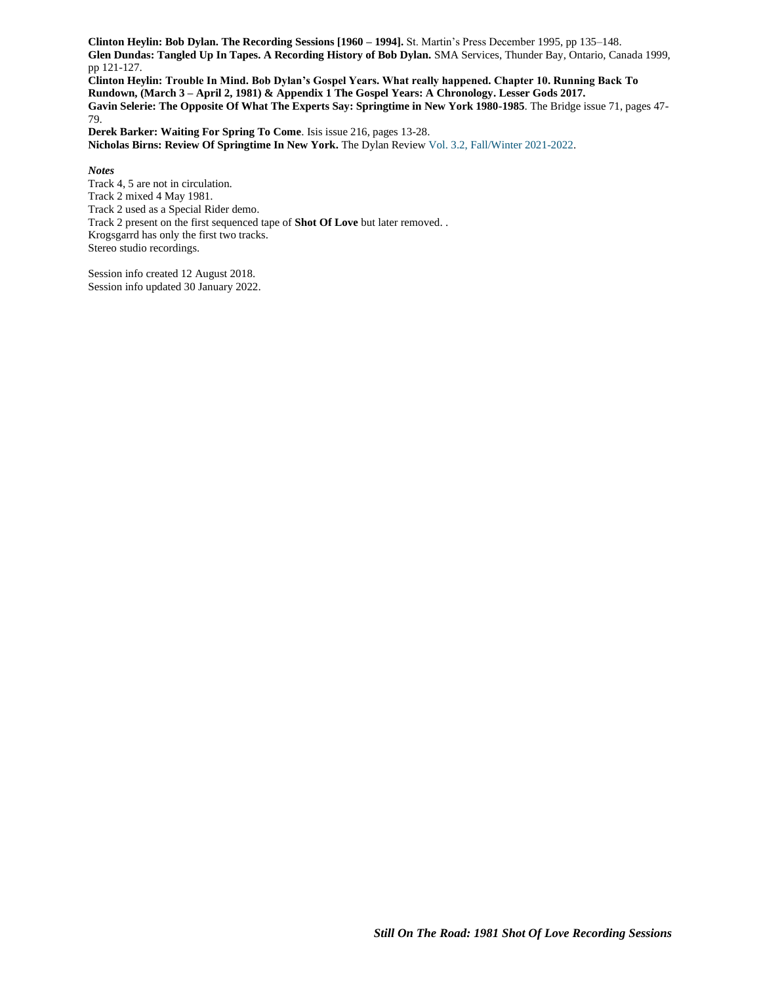**Clinton Heylin: Bob Dylan. The Recording Sessions [1960 – 1994].** St. Martin's Press December 1995, pp 135–148. **Glen Dundas: Tangled Up In Tapes. A Recording History of Bob Dylan.** SMA Services, Thunder Bay, Ontario, Canada 1999, pp 121-127.

**Clinton Heylin: Trouble In Mind. Bob Dylan's Gospel Years. What really happened. Chapter 10. Running Back To Rundown, (March 3 – April 2, 1981) & Appendix 1 The Gospel Years: A Chronology. Lesser Gods 2017. Gavin Selerie: The Opposite Of What The Experts Say: Springtime in New York 1980-1985**. The Bridge issue 71, pages 47- 79.

**Derek Barker: Waiting For Spring To Come**. Isis issue 216, pages 13-28. **Nicholas Birns: Review Of Springtime In New York.** The Dylan Review Vol. 3.2, [Fall/Winter](https://thedylanreview.org/category/dylan-review-fall-winter-2021-2022/) 2021-2022.

*Notes*

Track 4, 5 are not in circulation. Track 2 mixed 4 May 1981. Track 2 used as a Special Rider demo. Track 2 present on the first sequenced tape of **Shot Of Love** but later removed. . Krogsgarrd has only the first two tracks. Stereo studio recordings.

Session info created 12 August 2018. Session info updated 30 January 2022.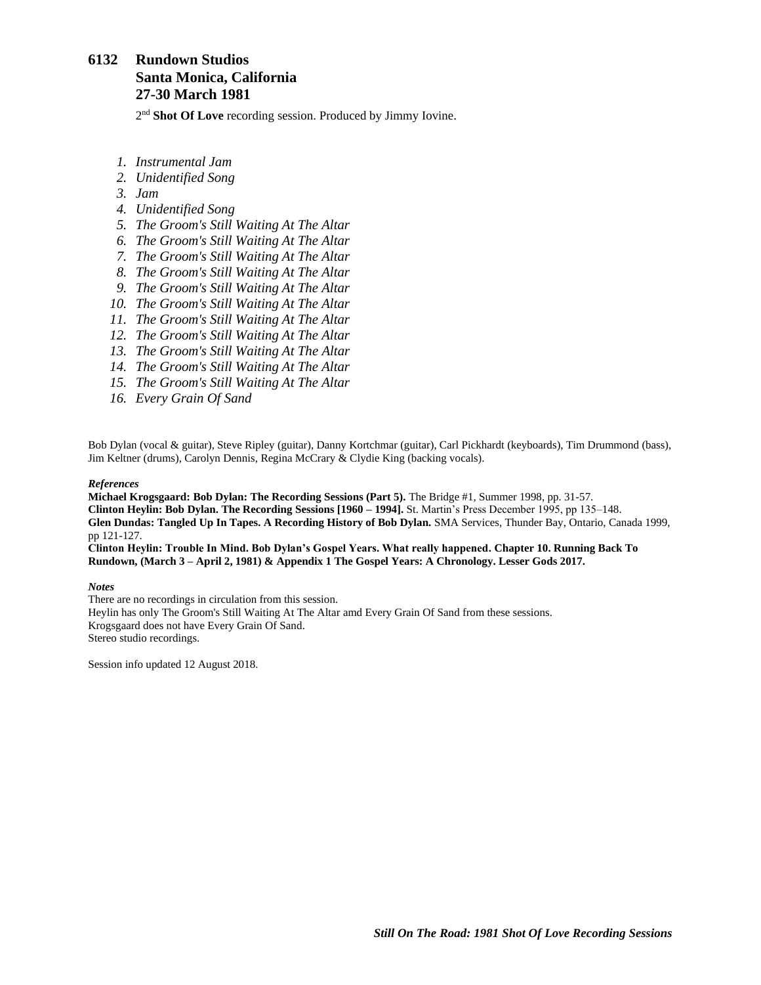# <span id="page-6-0"></span>**6132 Rundown Studios Santa Monica, California 27-30 March 1981**

2<sup>nd</sup> Shot Of Love recording session. Produced by Jimmy Iovine.

- *1. Instrumental Jam*
- *2. Unidentified Song*
- *3. Jam*
- *4. Unidentified Song*
- *5. The Groom's Still Waiting At The Altar*
- *6. The Groom's Still Waiting At The Altar*
- *7. The Groom's Still Waiting At The Altar*
- *8. The Groom's Still Waiting At The Altar*
- *9. The Groom's Still Waiting At The Altar*
- *10. The Groom's Still Waiting At The Altar*
- *11. The Groom's Still Waiting At The Altar*
- *12. The Groom's Still Waiting At The Altar*
- *13. The Groom's Still Waiting At The Altar*
- *14. The Groom's Still Waiting At The Altar*
- *15. The Groom's Still Waiting At The Altar*
- *16. Every Grain Of Sand*

Bob Dylan (vocal & guitar), Steve Ripley (guitar), Danny Kortchmar (guitar), Carl Pickhardt (keyboards), Tim Drummond (bass), Jim Keltner (drums), Carolyn Dennis, Regina McCrary & Clydie King (backing vocals).

#### *References*

**Michael Krogsgaard: Bob Dylan: The Recording Sessions (Part 5).** The Bridge #1, Summer 1998, pp. 31-57. **Clinton Heylin: Bob Dylan. The Recording Sessions [1960 – 1994].** St. Martin's Press December 1995, pp 135–148. **Glen Dundas: Tangled Up In Tapes. A Recording History of Bob Dylan.** SMA Services, Thunder Bay, Ontario, Canada 1999, pp 121-127.

**Clinton Heylin: Trouble In Mind. Bob Dylan's Gospel Years. What really happened. Chapter 10. Running Back To Rundown, (March 3 – April 2, 1981) & Appendix 1 The Gospel Years: A Chronology. Lesser Gods 2017.**

#### *Notes*

There are no recordings in circulation from this session. Heylin has only The Groom's Still Waiting At The Altar amd Every Grain Of Sand from these sessions. Krogsgaard does not have Every Grain Of Sand. Stereo studio recordings.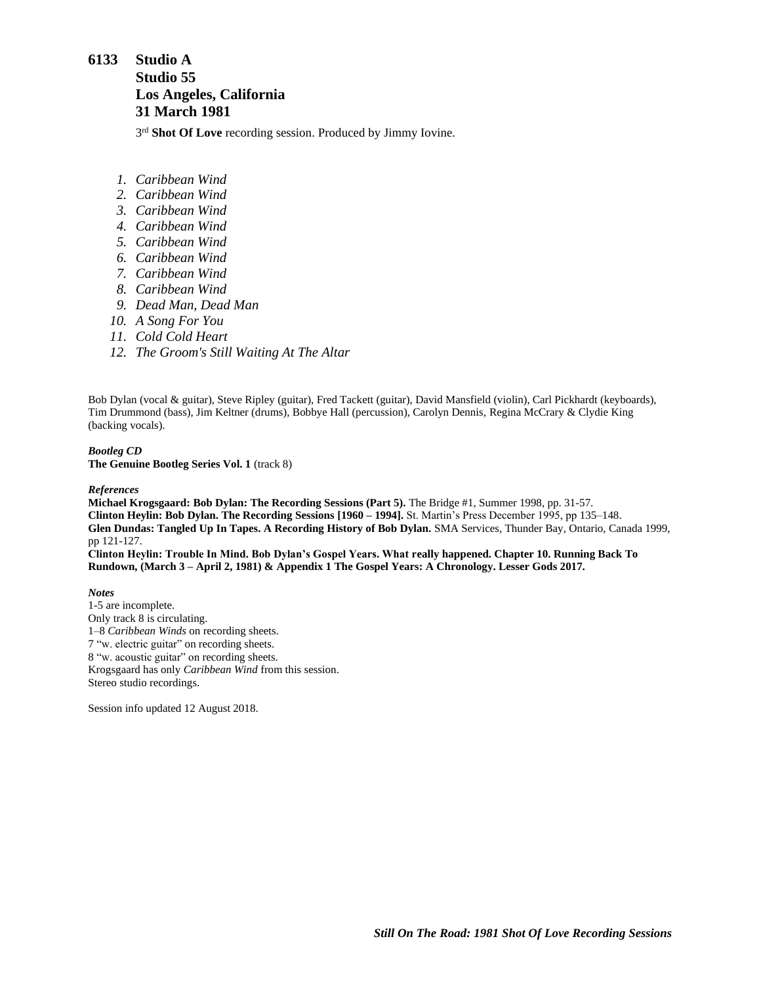## <span id="page-7-0"></span>**6133 Studio A**

## **Studio 55 Los Angeles, California 31 March 1981**

3<sup>rd</sup> Shot Of Love recording session. Produced by Jimmy Iovine.

- *1. Caribbean Wind*
- *2. Caribbean Wind*
- *3. Caribbean Wind*
- *4. Caribbean Wind*
- *5. Caribbean Wind*
- *6. Caribbean Wind*
- *7. Caribbean Wind*
- *8. Caribbean Wind*
- *9. Dead Man, Dead Man*
- *10. A Song For You*
- *11. Cold Cold Heart*
- *12. The Groom's Still Waiting At The Altar*

Bob Dylan (vocal & guitar), Steve Ripley (guitar), Fred Tackett (guitar), David Mansfield (violin), Carl Pickhardt (keyboards), Tim Drummond (bass), Jim Keltner (drums), Bobbye Hall (percussion), Carolyn Dennis, Regina McCrary & Clydie King (backing vocals).

#### *Bootleg CD* **The Genuine Bootleg Series Vol. 1** (track 8)

### *References*

**Michael Krogsgaard: Bob Dylan: The Recording Sessions (Part 5).** The Bridge #1, Summer 1998, pp. 31-57. **Clinton Heylin: Bob Dylan. The Recording Sessions [1960 – 1994].** St. Martin's Press December 1995, pp 135–148. **Glen Dundas: Tangled Up In Tapes. A Recording History of Bob Dylan.** SMA Services, Thunder Bay, Ontario, Canada 1999, pp 121-127.

**Clinton Heylin: Trouble In Mind. Bob Dylan's Gospel Years. What really happened. Chapter 10. Running Back To Rundown, (March 3 – April 2, 1981) & Appendix 1 The Gospel Years: A Chronology. Lesser Gods 2017.**

*Notes*

1-5 are incomplete. Only track 8 is circulating. 1–8 *Caribbean Winds* on recording sheets. 7 "w. electric guitar" on recording sheets. 8 "w. acoustic guitar" on recording sheets. Krogsgaard has only *Caribbean Wind* from this session. Stereo studio recordings.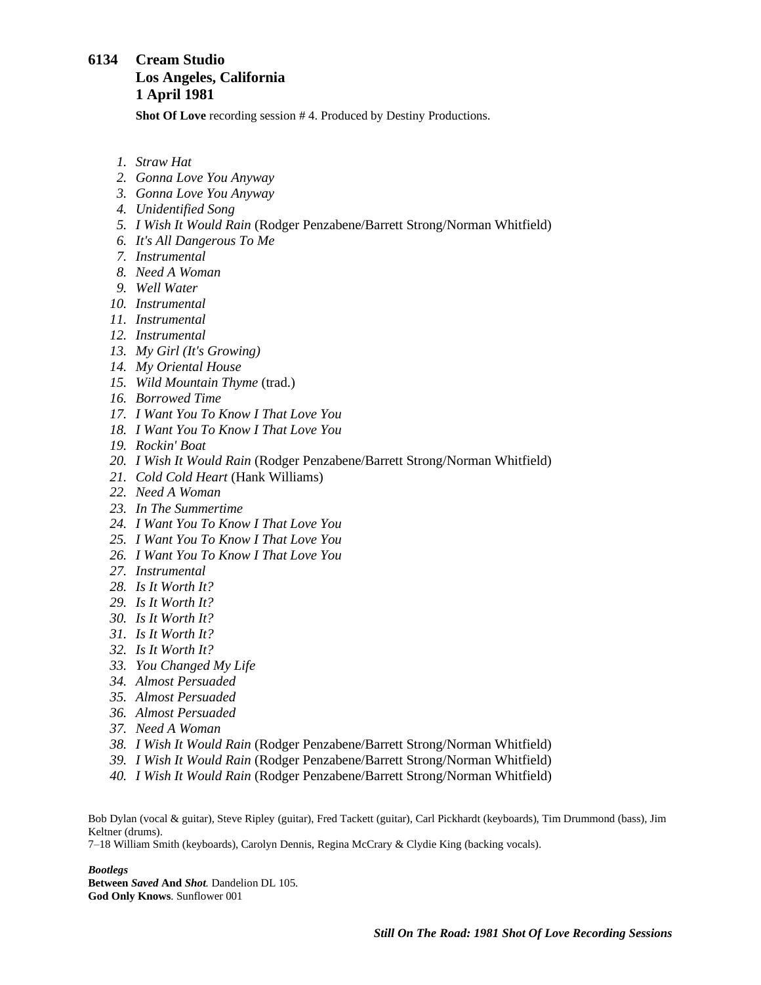## <span id="page-8-0"></span>**6134 Cream Studio Los Angeles, California 1 April 1981**

**Shot Of Love** recording session # 4. Produced by Destiny Productions.

- *1. Straw Hat*
- *2. Gonna Love You Anyway*
- *3. Gonna Love You Anyway*
- *4. Unidentified Song*
- *5. I Wish It Would Rain* (Rodger Penzabene/Barrett Strong/Norman Whitfield)
- *6. It's All Dangerous To Me*
- *7. Instrumental*
- *8. Need A Woman*
- *9. Well Water*
- *10. Instrumental*
- *11. Instrumental*
- *12. Instrumental*
- *13. My Girl (It's Growing)*
- *14. My Oriental House*
- *15. Wild Mountain Thyme* (trad.)
- *16. Borrowed Time*
- *17. I Want You To Know I That Love You*
- *18. I Want You To Know I That Love You*
- *19. Rockin' Boat*
- *20. I Wish It Would Rain* (Rodger Penzabene/Barrett Strong/Norman Whitfield)
- *21. Cold Cold Heart* (Hank Williams)
- *22. Need A Woman*
- *23. In The Summertime*
- *24. I Want You To Know I That Love You*
- *25. I Want You To Know I That Love You*
- *26. I Want You To Know I That Love You*
- *27. Instrumental*
- *28. Is It Worth It?*
- *29. Is It Worth It?*
- *30. Is It Worth It?*
- *31. Is It Worth It?*
- *32. Is It Worth It?*
- *33. You Changed My Life*
- *34. Almost Persuaded*
- *35. Almost Persuaded*
- *36. Almost Persuaded*
- *37. Need A Woman*
- *38. I Wish It Would Rain* (Rodger Penzabene/Barrett Strong/Norman Whitfield)
- *39. I Wish It Would Rain* (Rodger Penzabene/Barrett Strong/Norman Whitfield)
- *40. I Wish It Would Rain* (Rodger Penzabene/Barrett Strong/Norman Whitfield)

Bob Dylan (vocal & guitar), Steve Ripley (guitar), Fred Tackett (guitar), Carl Pickhardt (keyboards), Tim Drummond (bass), Jim Keltner (drums).

7–18 William Smith (keyboards), Carolyn Dennis, Regina McCrary & Clydie King (backing vocals).

*Bootlegs*

**Between** *Saved* **And** *Shot.* Dandelion DL 105. **God Only Knows**. Sunflower 001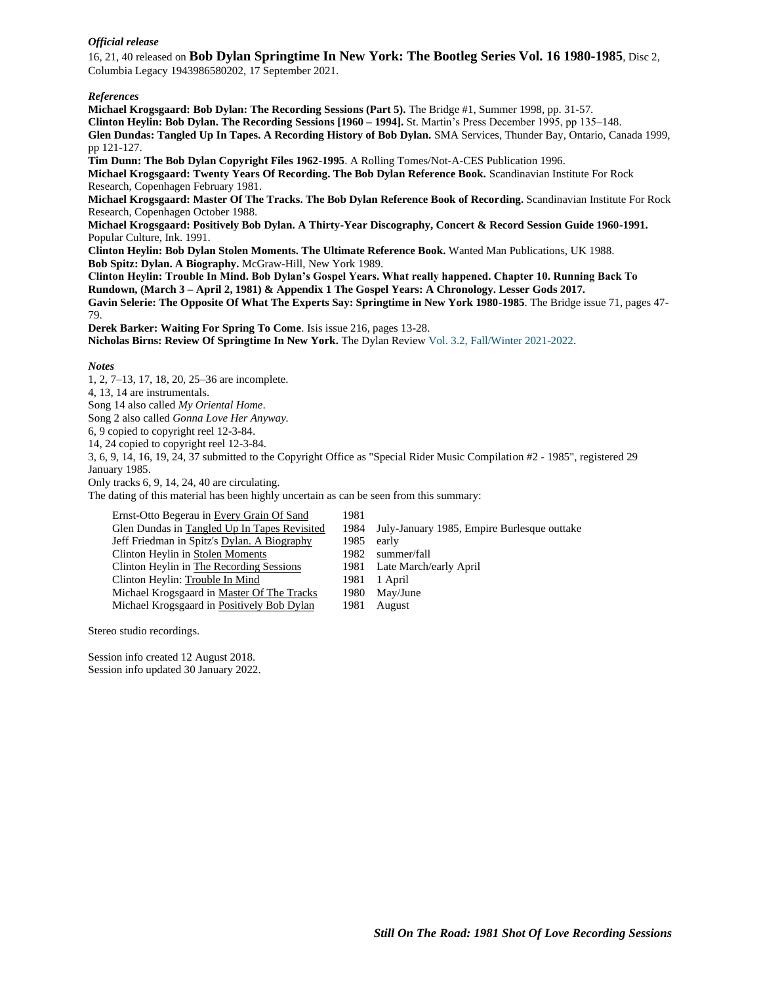### *Official release*

16, 21, 40 released on **Bob Dylan Springtime In New York: The Bootleg Series Vol. 16 1980-1985**, Disc 2, Columbia Legacy 1943986580202, 17 September 2021.

#### *References*

**Michael Krogsgaard: Bob Dylan: The Recording Sessions (Part 5).** The Bridge #1, Summer 1998, pp. 31-57. **Clinton Heylin: Bob Dylan. The Recording Sessions [1960 – 1994].** St. Martin's Press December 1995, pp 135–148. **Glen Dundas: Tangled Up In Tapes. A Recording History of Bob Dylan.** SMA Services, Thunder Bay, Ontario, Canada 1999, pp 121-127.

**Tim Dunn: The Bob Dylan Copyright Files 1962-1995**. A Rolling Tomes/Not-A-CES Publication 1996. **Michael Krogsgaard: Twenty Years Of Recording. The Bob Dylan Reference Book.** Scandinavian Institute For Rock Research, Copenhagen February 1981.

**Michael Krogsgaard: Master Of The Tracks. The Bob Dylan Reference Book of Recording.** Scandinavian Institute For Rock Research, Copenhagen October 1988.

**Michael Krogsgaard: Positively Bob Dylan. A Thirty-Year Discography, Concert & Record Session Guide 1960-1991.** Popular Culture, Ink. 1991.

**Clinton Heylin: Bob Dylan Stolen Moments. The Ultimate Reference Book.** Wanted Man Publications, UK 1988. **Bob Spitz: Dylan. A Biography.** McGraw-Hill, New York 1989.

**Clinton Heylin: Trouble In Mind. Bob Dylan's Gospel Years. What really happened. Chapter 10. Running Back To Rundown, (March 3 – April 2, 1981) & Appendix 1 The Gospel Years: A Chronology. Lesser Gods 2017. Gavin Selerie: The Opposite Of What The Experts Say: Springtime in New York 1980-1985**. The Bridge issue 71, pages 47- 79.

**Derek Barker: Waiting For Spring To Come**. Isis issue 216, pages 13-28.

**Nicholas Birns: Review Of Springtime In New York.** The Dylan Review Vol. 3.2, [Fall/Winter](https://thedylanreview.org/category/dylan-review-fall-winter-2021-2022/) 2021-2022.

#### *Notes*

1, 2, 7–13, 17, 18, 20, 25–36 are incomplete.

4, 13, 14 are instrumentals.

Song 14 also called *My Oriental Home*.

Song 2 also called *Gonna Love Her Anyway.*

6, 9 copied to copyright reel 12-3-84.

14, 24 copied to copyright reel 12-3-84.

3, 6, 9, 14, 16, 19, 24, 37 submitted to the Copyright Office as "Special Rider Music Compilation #2 - 1985", registered 29 January 1985.

Only tracks 6, 9, 14, 24, 40 are circulating.

The dating of this material has been highly uncertain as can be seen from this summary:

| Ernst-Otto Begerau in Every Grain Of Sand    | 1981 |                                             |
|----------------------------------------------|------|---------------------------------------------|
| Glen Dundas in Tangled Up In Tapes Revisited | 1984 | July-January 1985, Empire Burlesque outtake |
| Jeff Friedman in Spitz's Dylan. A Biography  | 1985 | early                                       |
| Clinton Heylin in Stolen Moments             | 1982 | summer/fall                                 |
| Clinton Heylin in The Recording Sessions     |      | 1981 Late March/early April                 |
| Clinton Heylin: Trouble In Mind              | 1981 | 1 April                                     |
| Michael Krogsgaard in Master Of The Tracks   | 1980 | May/June                                    |
| Michael Krogsgaard in Positively Bob Dylan   | 1981 | August                                      |

- 1982 summer/fall
- 1981 Late March/early April
- 1981 1 April
- 1980 May/June
- 1981 August

Stereo studio recordings.

Session info created 12 August 2018. Session info updated 30 January 2022.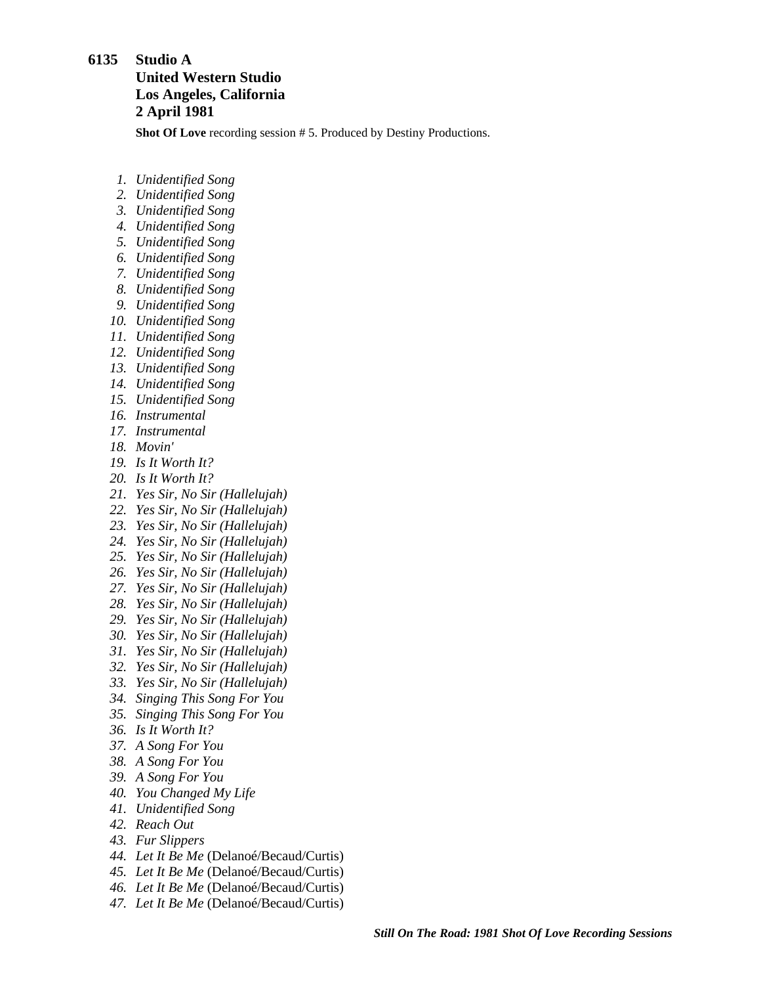### <span id="page-10-0"></span>**6135 Studio A**

## **United Western Studio Los Angeles, California 2 April 1981**

**Shot Of Love** recording session # 5. Produced by Destiny Productions.

- *1. Unidentified Song*
- *2. Unidentified Song*
- *3. Unidentified Song*
- *4. Unidentified Song*
- *5. Unidentified Song*
- *6. Unidentified Song*
- *7. Unidentified Song*
- *8. Unidentified Song*
- *9. Unidentified Song*
- *10. Unidentified Song*
- *11. Unidentified Song*
- *12. Unidentified Song*
- *13. Unidentified Song*
- *14. Unidentified Song*
- *15. Unidentified Song*
- *16. Instrumental*
- *17. Instrumental*
- *18. Movin'*
- *19. Is It Worth It?*
- *20. Is It Worth It?*
- *21. Yes Sir, No Sir (Hallelujah)*
- *22. Yes Sir, No Sir (Hallelujah)*
- *23. Yes Sir, No Sir (Hallelujah)*
- *24. Yes Sir, No Sir (Hallelujah)*
- *25. Yes Sir, No Sir (Hallelujah)*
- *26. Yes Sir, No Sir (Hallelujah)*
- *27. Yes Sir, No Sir (Hallelujah)*
- *28. Yes Sir, No Sir (Hallelujah)*
- *29. Yes Sir, No Sir (Hallelujah)*
- *30. Yes Sir, No Sir (Hallelujah)*
- *31. Yes Sir, No Sir (Hallelujah)*
- *32. Yes Sir, No Sir (Hallelujah)*
- *33. Yes Sir, No Sir (Hallelujah)*
- *34. Singing This Song For You*
- *35. Singing This Song For You*
- *36. Is It Worth It?*
- *37. A Song For You*
- *38. A Song For You*
- *39. A Song For You*
- *40. You Changed My Life*
- *41. Unidentified Song*
- *42. Reach Out*
- *43. Fur Slippers*
- *44. Let It Be Me* (Delanoé/Becaud/Curtis)
- *45. Let It Be Me* (Delanoé/Becaud/Curtis)
- *46. Let It Be Me* (Delanoé/Becaud/Curtis)
- *47. Let It Be Me* (Delanoé/Becaud/Curtis)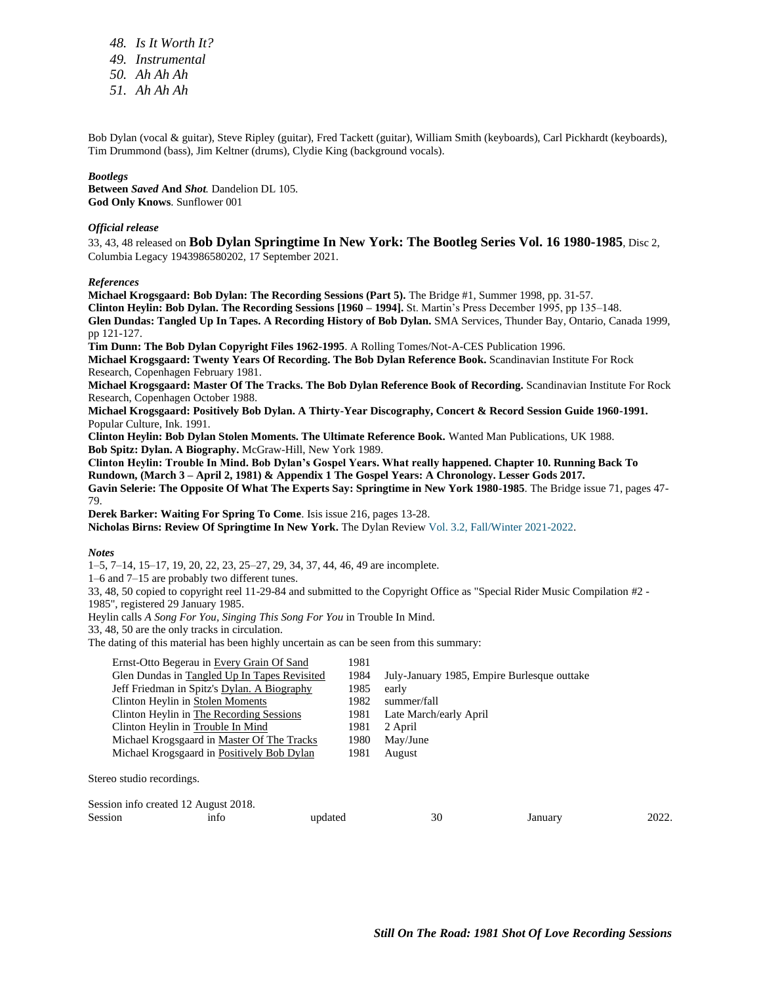*48. Is It Worth It? 49. Instrumental 50. Ah Ah Ah 51. Ah Ah Ah*

Bob Dylan (vocal & guitar), Steve Ripley (guitar), Fred Tackett (guitar), William Smith (keyboards), Carl Pickhardt (keyboards), Tim Drummond (bass), Jim Keltner (drums), Clydie King (background vocals).

#### *Bootlegs*

**Between** *Saved* **And** *Shot.* Dandelion DL 105. **God Only Knows**. Sunflower 001

#### *Official release*

33, 43, 48 released on **Bob Dylan Springtime In New York: The Bootleg Series Vol. 16 1980-1985**, Disc 2, Columbia Legacy 1943986580202, 17 September 2021.

#### *References*

**Michael Krogsgaard: Bob Dylan: The Recording Sessions (Part 5).** The Bridge #1, Summer 1998, pp. 31-57. **Clinton Heylin: Bob Dylan. The Recording Sessions [1960 – 1994].** St. Martin's Press December 1995, pp 135–148. **Glen Dundas: Tangled Up In Tapes. A Recording History of Bob Dylan.** SMA Services, Thunder Bay, Ontario, Canada 1999, pp 121-127. **Tim Dunn: The Bob Dylan Copyright Files 1962-1995**. A Rolling Tomes/Not-A-CES Publication 1996.

**Michael Krogsgaard: Twenty Years Of Recording. The Bob Dylan Reference Book.** Scandinavian Institute For Rock Research, Copenhagen February 1981.

**Michael Krogsgaard: Master Of The Tracks. The Bob Dylan Reference Book of Recording.** Scandinavian Institute For Rock Research, Copenhagen October 1988.

**Michael Krogsgaard: Positively Bob Dylan. A Thirty-Year Discography, Concert & Record Session Guide 1960-1991.** Popular Culture, Ink. 1991.

**Clinton Heylin: Bob Dylan Stolen Moments. The Ultimate Reference Book.** Wanted Man Publications, UK 1988. **Bob Spitz: Dylan. A Biography.** McGraw-Hill, New York 1989.

**Clinton Heylin: Trouble In Mind. Bob Dylan's Gospel Years. What really happened. Chapter 10. Running Back To Rundown, (March 3 – April 2, 1981) & Appendix 1 The Gospel Years: A Chronology. Lesser Gods 2017. Gavin Selerie: The Opposite Of What The Experts Say: Springtime in New York 1980-1985**. The Bridge issue 71, pages 47- 79.

**Derek Barker: Waiting For Spring To Come**. Isis issue 216, pages 13-28. **Nicholas Birns: Review Of Springtime In New York.** The Dylan Review Vol. 3.2, [Fall/Winter](https://thedylanreview.org/category/dylan-review-fall-winter-2021-2022/) 2021-2022.

*Notes*

1–5, 7–14, 15–17, 19, 20, 22, 23, 25–27, 29, 34, 37, 44, 46, 49 are incomplete.

1–6 and 7–15 are probably two different tunes.

33, 48, 50 copied to copyright reel 11-29-84 and submitted to the Copyright Office as "Special Rider Music Compilation #2 - 1985", registered 29 January 1985.

Heylin calls *A Song For You, Singing This Song For You* in Trouble In Mind.

33, 48, 50 are the only tracks in circulation.

The dating of this material has been highly uncertain as can be seen from this summary:

| Ernst-Otto Begerau in Every Grain Of Sand    | 1981 |                                             |  |  |
|----------------------------------------------|------|---------------------------------------------|--|--|
| Glen Dundas in Tangled Up In Tapes Revisited | 1984 | July-January 1985, Empire Burlesque outtake |  |  |
| Jeff Friedman in Spitz's Dylan. A Biography  | 1985 | early                                       |  |  |
| Clinton Heylin in Stolen Moments             | 1982 | summer/fall                                 |  |  |
| Clinton Heylin in The Recording Sessions     | 1981 | Late March/early April                      |  |  |
| Clinton Heylin in Trouble In Mind            | 1981 | 2 April                                     |  |  |
| Michael Krogsgaard in Master Of The Tracks   | 1980 | May/June                                    |  |  |
| Michael Krogsgaard in Positively Bob Dylan   | 1981 | August                                      |  |  |
|                                              |      |                                             |  |  |
| eo studio recordings.                        |      |                                             |  |  |

Stereo studio recordings.

| Session info created 12 August 2018. |      |         |    |        |       |
|--------------------------------------|------|---------|----|--------|-------|
| Session                              | ınto | updated | 30 | anuary | 2022. |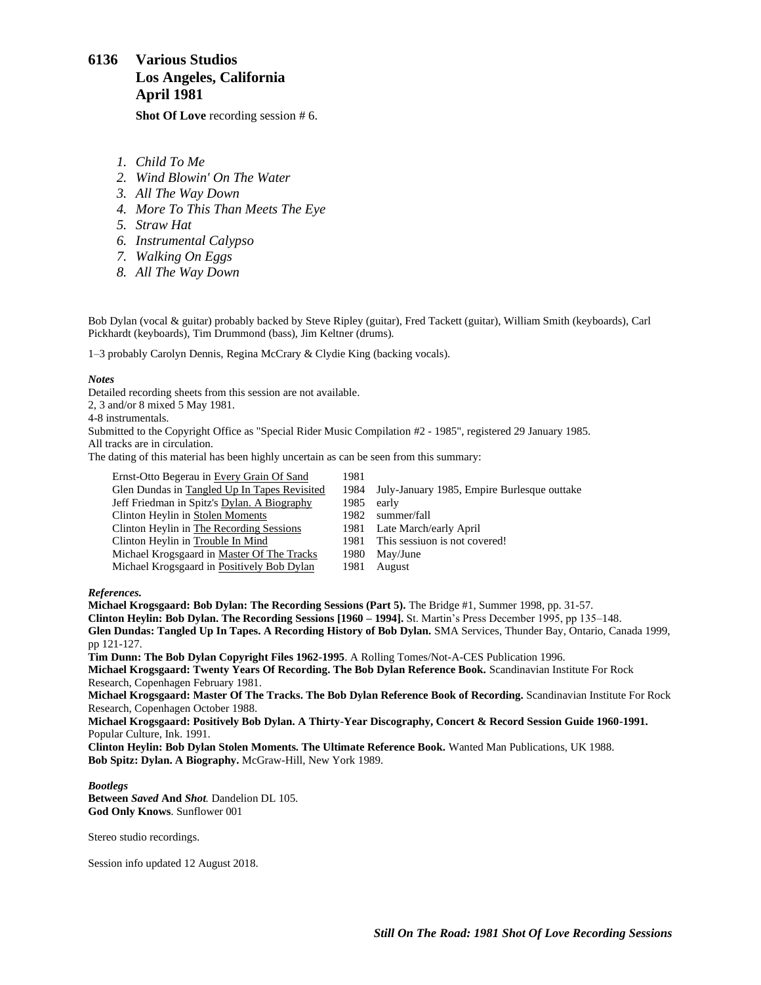## <span id="page-12-0"></span>**6136 Various Studios Los Angeles, California April 1981**

**Shot Of Love** recording session # 6.

- *1. Child To Me*
- *2. Wind Blowin' On The Water*
- *3. All The Way Down*
- *4. More To This Than Meets The Eye*
- *5. Straw Hat*
- *6. Instrumental Calypso*
- *7. Walking On Eggs*
- *8. All The Way Down*

Bob Dylan (vocal & guitar) probably backed by Steve Ripley (guitar), Fred Tackett (guitar), William Smith (keyboards), Carl Pickhardt (keyboards), Tim Drummond (bass), Jim Keltner (drums).

1–3 probably Carolyn Dennis, Regina McCrary & Clydie King (backing vocals).

#### *Notes*

Detailed recording sheets from this session are not available.

2, 3 and/or 8 mixed 5 May 1981.

4-8 instrumentals.

Submitted to the Copyright Office as "Special Rider Music Compilation #2 - 1985", registered 29 January 1985. All tracks are in circulation.

The dating of this material has been highly uncertain as can be seen from this summary:

| Ernst-Otto Begerau in Every Grain Of Sand    | 1981  |                                             |
|----------------------------------------------|-------|---------------------------------------------|
| Glen Dundas in Tangled Up In Tapes Revisited | 1984  | July-January 1985, Empire Burlesque outtake |
| Jeff Friedman in Spitz's Dylan. A Biography  | 1985  | early                                       |
| Clinton Heylin in Stolen Moments             | 1982. | summer/fall                                 |
| Clinton Heylin in The Recording Sessions     | 1981  | Late March/early April                      |
| Clinton Heylin in Trouble In Mind            | 1981  | This sessiuon is not covered!               |
| Michael Krogsgaard in Master Of The Tracks   | 1980- | May/June                                    |
| Michael Krogsgaard in Positively Bob Dylan   | 1981  | August                                      |

#### *References.*

**Michael Krogsgaard: Bob Dylan: The Recording Sessions (Part 5).** The Bridge #1, Summer 1998, pp. 31-57. **Clinton Heylin: Bob Dylan. The Recording Sessions [1960 – 1994].** St. Martin's Press December 1995, pp 135–148. **Glen Dundas: Tangled Up In Tapes. A Recording History of Bob Dylan.** SMA Services, Thunder Bay, Ontario, Canada 1999, pp 121-127. **Tim Dunn: The Bob Dylan Copyright Files 1962-1995**. A Rolling Tomes/Not-A-CES Publication 1996.

**Michael Krogsgaard: Twenty Years Of Recording. The Bob Dylan Reference Book.** Scandinavian Institute For Rock Research, Copenhagen February 1981.

**Michael Krogsgaard: Master Of The Tracks. The Bob Dylan Reference Book of Recording.** Scandinavian Institute For Rock Research, Copenhagen October 1988.

**Michael Krogsgaard: Positively Bob Dylan. A Thirty-Year Discography, Concert & Record Session Guide 1960-1991.** Popular Culture, Ink. 1991.

**Clinton Heylin: Bob Dylan Stolen Moments. The Ultimate Reference Book.** Wanted Man Publications, UK 1988. **Bob Spitz: Dylan. A Biography.** McGraw-Hill, New York 1989.

#### *Bootlegs*

**Between** *Saved* **And** *Shot.* Dandelion DL 105. **God Only Knows**. Sunflower 001

Stereo studio recordings.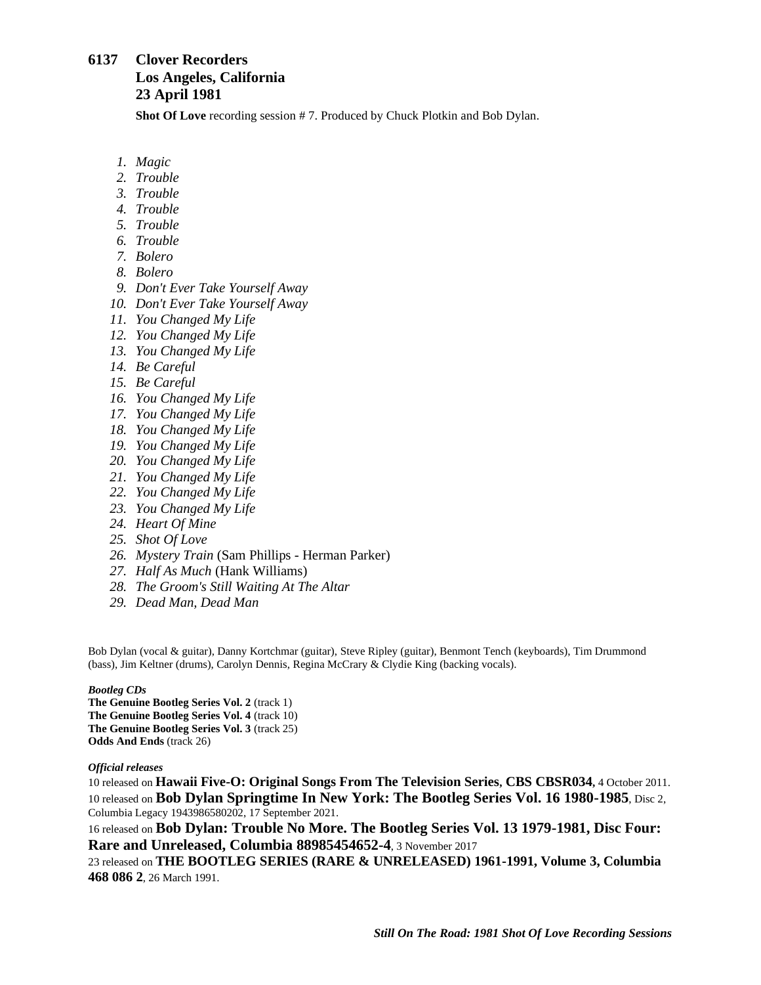## <span id="page-13-0"></span>**6137 Clover Recorders Los Angeles, California 23 April 1981**

**Shot Of Love** recording session # 7. Produced by Chuck Plotkin and Bob Dylan.

- *1. Magic*
- *2. Trouble*
- *3. Trouble*
- *4. Trouble*
- *5. Trouble*
- *6. Trouble*
- *7. Bolero*
- *8. Bolero*
- *9. Don't Ever Take Yourself Away*
- *10. Don't Ever Take Yourself Away*
- *11. You Changed My Life*
- *12. You Changed My Life*
- *13. You Changed My Life*
- *14. Be Careful*
- *15. Be Careful*
- *16. You Changed My Life*
- *17. You Changed My Life*
- *18. You Changed My Life*
- *19. You Changed My Life*
- *20. You Changed My Life*
- *21. You Changed My Life*
- *22. You Changed My Life*
- *23. You Changed My Life*
- *24. Heart Of Mine*
- *25. Shot Of Love*
- *26. Mystery Train* (Sam Phillips Herman Parker)
- *27. Half As Much* (Hank Williams)
- *28. The Groom's Still Waiting At The Altar*
- *29. Dead Man, Dead Man*

Bob Dylan (vocal & guitar), Danny Kortchmar (guitar), Steve Ripley (guitar), Benmont Tench (keyboards), Tim Drummond (bass), Jim Keltner (drums), Carolyn Dennis, Regina McCrary & Clydie King (backing vocals).

### *Bootleg CDs*

**The Genuine Bootleg Series Vol. 2** (track 1) **The Genuine Bootleg Series Vol. 4** (track 10) **The Genuine Bootleg Series Vol. 3** (track 25) **Odds And Ends** (track 26)

### *Official releases*

10 released on **Hawaii Five-O: Original Songs From The Television Series, CBS CBSR034,** 4 October 2011. 10 released on **Bob Dylan Springtime In New York: The Bootleg Series Vol. 16 1980-1985**, Disc 2, Columbia Legacy 1943986580202, 17 September 2021.

16 released on **Bob Dylan: Trouble No More. The Bootleg Series Vol. 13 1979-1981, Disc Four: Rare and Unreleased, Columbia 88985454652-4**, 3 November 2017

23 released on **THE BOOTLEG SERIES (RARE & UNRELEASED) 1961-1991, Volume 3, Columbia 468 086 2**, 26 March 1991.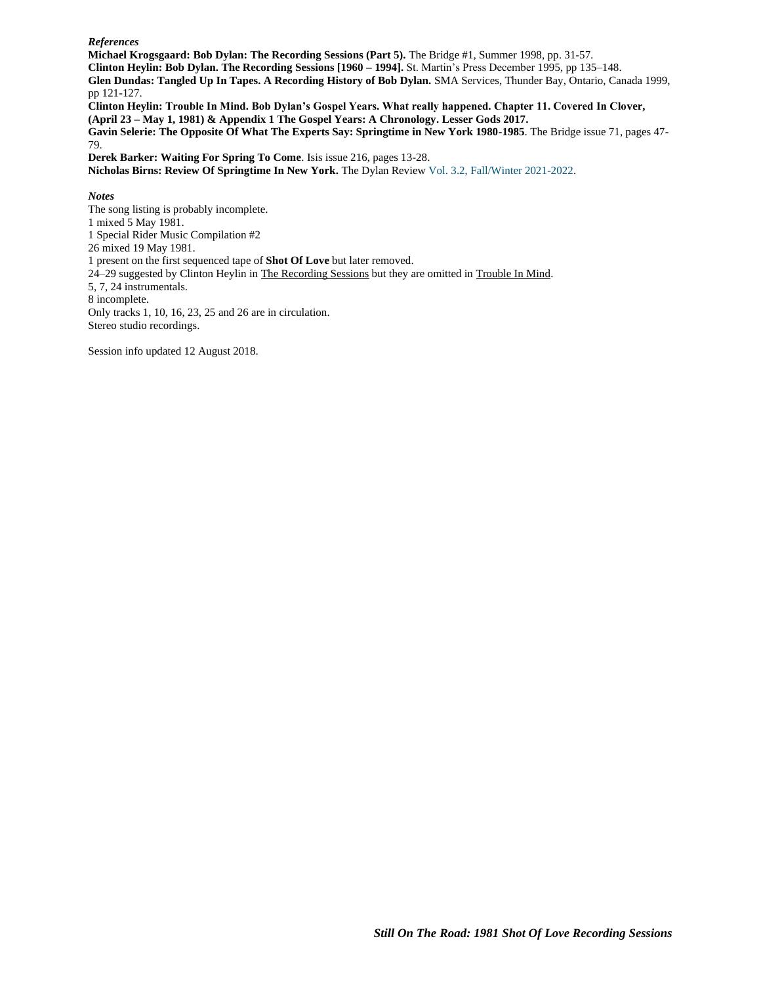#### *References*

**Michael Krogsgaard: Bob Dylan: The Recording Sessions (Part 5).** The Bridge #1, Summer 1998, pp. 31-57.

**Clinton Heylin: Bob Dylan. The Recording Sessions [1960 – 1994].** St. Martin's Press December 1995, pp 135–148.

**Glen Dundas: Tangled Up In Tapes. A Recording History of Bob Dylan.** SMA Services, Thunder Bay, Ontario, Canada 1999, pp 121-127.

**Clinton Heylin: Trouble In Mind. Bob Dylan's Gospel Years. What really happened. Chapter 11. Covered In Clover, (April 23 – May 1, 1981) & Appendix 1 The Gospel Years: A Chronology. Lesser Gods 2017.**

**Gavin Selerie: The Opposite Of What The Experts Say: Springtime in New York 1980-1985**. The Bridge issue 71, pages 47- 79.

**Derek Barker: Waiting For Spring To Come**. Isis issue 216, pages 13-28.

**Nicholas Birns: Review Of Springtime In New York.** The Dylan Review Vol. 3.2, [Fall/Winter](https://thedylanreview.org/category/dylan-review-fall-winter-2021-2022/) 2021-2022.

*Notes*

The song listing is probably incomplete. 1 mixed 5 May 1981. 1 Special Rider Music Compilation #2 26 mixed 19 May 1981. 1 present on the first sequenced tape of **Shot Of Love** but later removed. 24–29 suggested by Clinton Heylin in The Recording Sessions but they are omitted in Trouble In Mind. 5, 7, 24 instrumentals. 8 incomplete. Only tracks 1, 10, 16, 23, 25 and 26 are in circulation. Stereo studio recordings.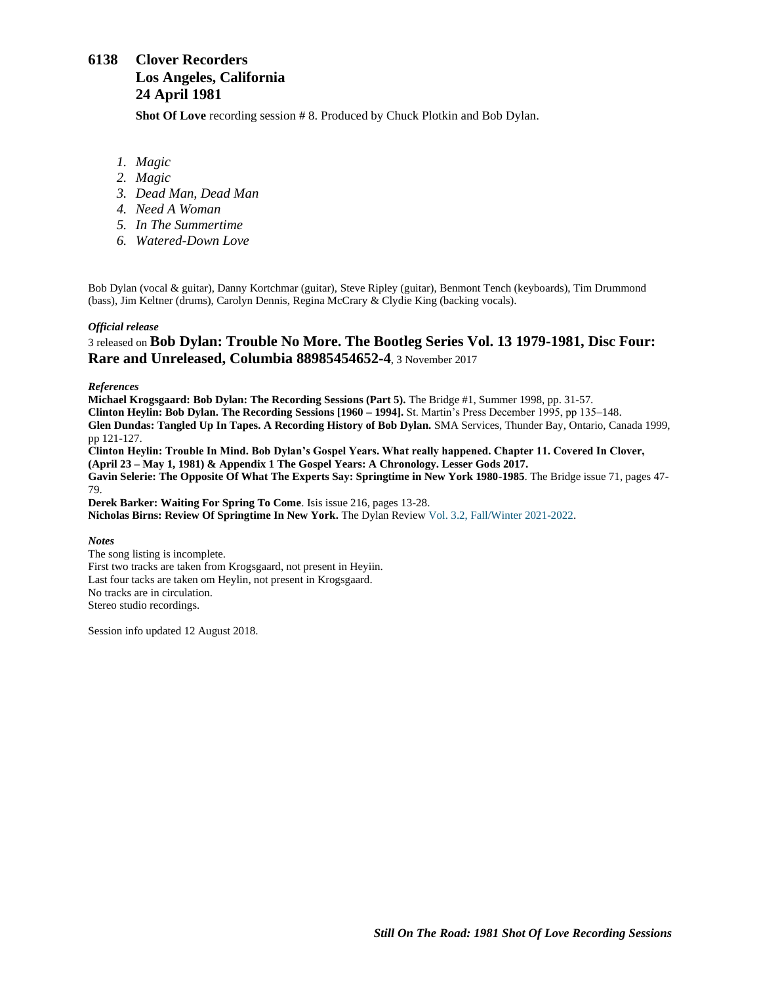# <span id="page-15-0"></span>**6138 Clover Recorders Los Angeles, California 24 April 1981**

**Shot Of Love** recording session # 8. Produced by Chuck Plotkin and Bob Dylan.

- *1. Magic*
- *2. Magic*
- *3. Dead Man, Dead Man*
- *4. Need A Woman*
- *5. In The Summertime*
- *6. Watered-Down Love*

Bob Dylan (vocal & guitar), Danny Kortchmar (guitar), Steve Ripley (guitar), Benmont Tench (keyboards), Tim Drummond (bass), Jim Keltner (drums), Carolyn Dennis, Regina McCrary & Clydie King (backing vocals).

#### *Official release*

## 3 released on **Bob Dylan: Trouble No More. The Bootleg Series Vol. 13 1979-1981, Disc Four: Rare and Unreleased, Columbia 88985454652-4**, 3 November 2017

#### *References*

**Michael Krogsgaard: Bob Dylan: The Recording Sessions (Part 5).** The Bridge #1, Summer 1998, pp. 31-57. **Clinton Heylin: Bob Dylan. The Recording Sessions [1960 – 1994].** St. Martin's Press December 1995, pp 135–148. **Glen Dundas: Tangled Up In Tapes. A Recording History of Bob Dylan.** SMA Services, Thunder Bay, Ontario, Canada 1999, pp 121-127. **Clinton Heylin: Trouble In Mind. Bob Dylan's Gospel Years. What really happened. Chapter 11. Covered In Clover, (April 23 – May 1, 1981) & Appendix 1 The Gospel Years: A Chronology. Lesser Gods 2017. Gavin Selerie: The Opposite Of What The Experts Say: Springtime in New York 1980-1985**. The Bridge issue 71, pages 47- 79. **Derek Barker: Waiting For Spring To Come**. Isis issue 216, pages 13-28. **Nicholas Birns: Review Of Springtime In New York.** The Dylan Review Vol. 3.2, [Fall/Winter](https://thedylanreview.org/category/dylan-review-fall-winter-2021-2022/) 2021-2022.

#### *Notes*

The song listing is incomplete. First two tracks are taken from Krogsgaard, not present in Heyiin. Last four tacks are taken om Heylin, not present in Krogsgaard. No tracks are in circulation. Stereo studio recordings.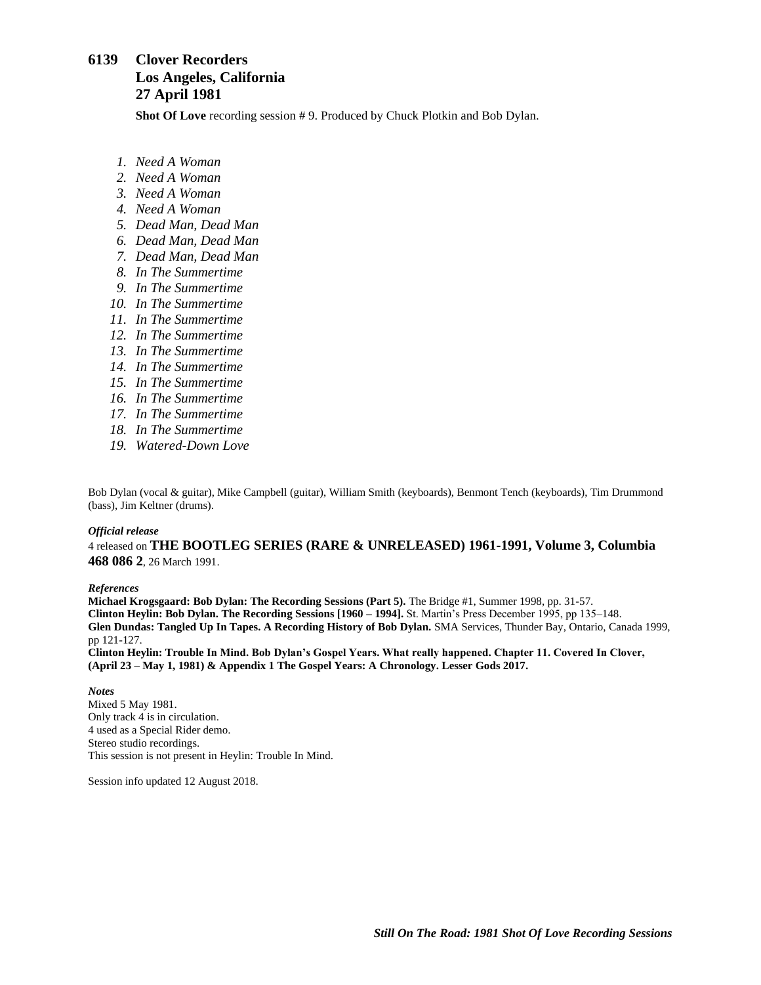## <span id="page-16-0"></span>**6139 Clover Recorders Los Angeles, California 27 April 1981**

**Shot Of Love** recording session # 9. Produced by Chuck Plotkin and Bob Dylan.

- *1. Need A Woman*
- *2. Need A Woman*
- *3. Need A Woman*
- *4. Need A Woman*
- *5. Dead Man, Dead Man*
- *6. Dead Man, Dead Man*
- *7. Dead Man, Dead Man*
- *8. In The Summertime*
- *9. In The Summertime*
- *10. In The Summertime*
- *11. In The Summertime*
- *12. In The Summertime*
- *13. In The Summertime*
- *14. In The Summertime*
- *15. In The Summertime*
- *16. In The Summertime*
- *17. In The Summertime*
- *18. In The Summertime*
- *19. Watered-Down Love*

Bob Dylan (vocal & guitar), Mike Campbell (guitar), William Smith (keyboards), Benmont Tench (keyboards), Tim Drummond (bass), Jim Keltner (drums).

#### *Official release*

4 released on **THE BOOTLEG SERIES (RARE & UNRELEASED) 1961-1991, Volume 3, Columbia 468 086 2**, 26 March 1991.

### *References*

**Michael Krogsgaard: Bob Dylan: The Recording Sessions (Part 5).** The Bridge #1, Summer 1998, pp. 31-57. **Clinton Heylin: Bob Dylan. The Recording Sessions [1960 – 1994].** St. Martin's Press December 1995, pp 135–148. **Glen Dundas: Tangled Up In Tapes. A Recording History of Bob Dylan.** SMA Services, Thunder Bay, Ontario, Canada 1999, pp 121-127.

**Clinton Heylin: Trouble In Mind. Bob Dylan's Gospel Years. What really happened. Chapter 11. Covered In Clover, (April 23 – May 1, 1981) & Appendix 1 The Gospel Years: A Chronology. Lesser Gods 2017.**

*Notes*

Mixed 5 May 1981. Only track 4 is in circulation. 4 used as a Special Rider demo. Stereo studio recordings. This session is not present in Heylin: Trouble In Mind.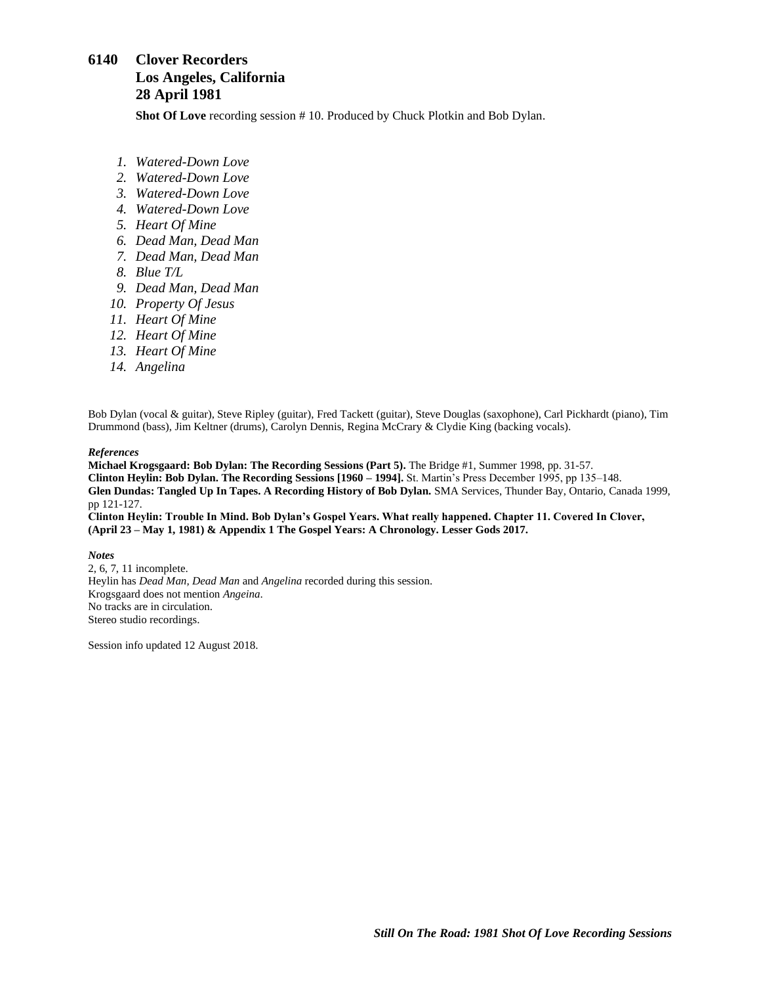# <span id="page-17-0"></span>**6140 Clover Recorders Los Angeles, California 28 April 1981**

**Shot Of Love** recording session # 10. Produced by Chuck Plotkin and Bob Dylan.

- *1. Watered-Down Love*
- *2. Watered-Down Love*
- *3. Watered-Down Love*
- *4. Watered-Down Love*
- *5. Heart Of Mine*
- *6. Dead Man, Dead Man*
- *7. Dead Man, Dead Man*
- *8. Blue T/L*
- *9. Dead Man, Dead Man*
- *10. Property Of Jesus*
- *11. Heart Of Mine*
- *12. Heart Of Mine*
- *13. Heart Of Mine*
- *14. Angelina*

Bob Dylan (vocal & guitar), Steve Ripley (guitar), Fred Tackett (guitar), Steve Douglas (saxophone), Carl Pickhardt (piano), Tim Drummond (bass), Jim Keltner (drums), Carolyn Dennis, Regina McCrary & Clydie King (backing vocals).

#### *References*

**Michael Krogsgaard: Bob Dylan: The Recording Sessions (Part 5).** The Bridge #1, Summer 1998, pp. 31-57. **Clinton Heylin: Bob Dylan. The Recording Sessions [1960 – 1994].** St. Martin's Press December 1995, pp 135–148. **Glen Dundas: Tangled Up In Tapes. A Recording History of Bob Dylan.** SMA Services, Thunder Bay, Ontario, Canada 1999, pp 121-127.

**Clinton Heylin: Trouble In Mind. Bob Dylan's Gospel Years. What really happened. Chapter 11. Covered In Clover, (April 23 – May 1, 1981) & Appendix 1 The Gospel Years: A Chronology. Lesser Gods 2017.**

### *Notes*

2, 6, 7, 11 incomplete. Heylin has *Dead Man, Dead Man* and *Angelina* recorded during this session. Krogsgaard does not mention *Angeina*. No tracks are in circulation. Stereo studio recordings.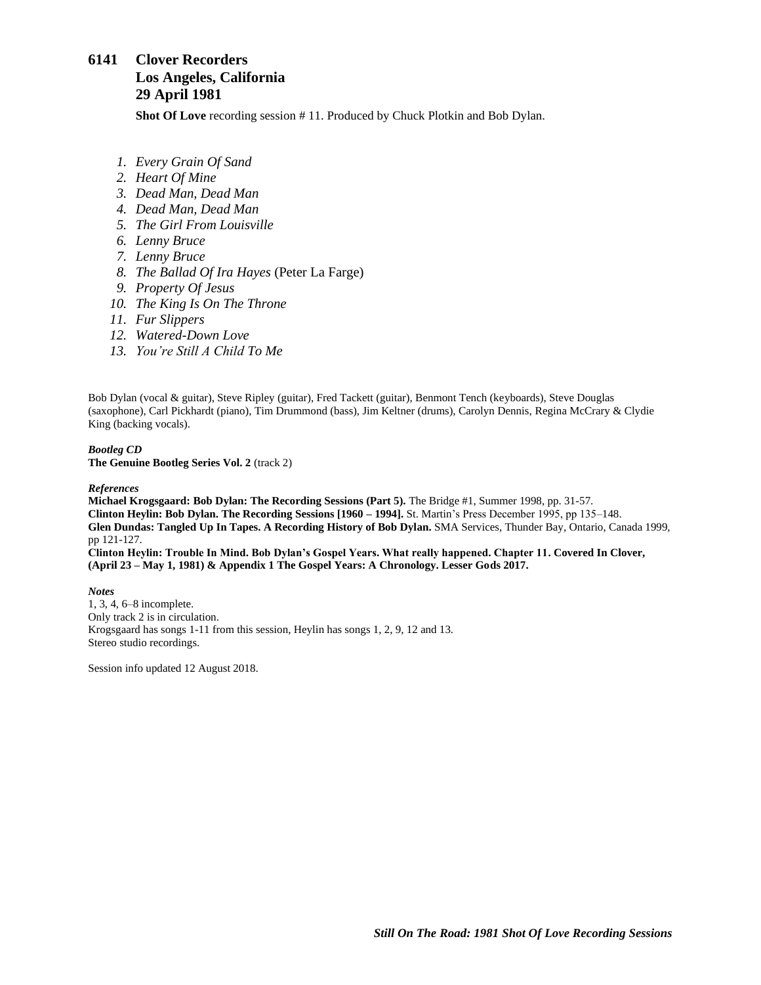## <span id="page-18-0"></span>**6141 Clover Recorders Los Angeles, California 29 April 1981**

**Shot Of Love** recording session # 11. Produced by Chuck Plotkin and Bob Dylan.

- *1. Every Grain Of Sand*
- *2. Heart Of Mine*
- *3. Dead Man, Dead Man*
- *4. Dead Man, Dead Man*
- *5. The Girl From Louisville*
- *6. Lenny Bruce*
- *7. Lenny Bruce*
- *8. The Ballad Of Ira Hayes* (Peter La Farge)
- *9. Property Of Jesus*
- *10. The King Is On The Throne*
- *11. Fur Slippers*
- *12. Watered-Down Love*
- *13. You're Still A Child To Me*

Bob Dylan (vocal & guitar), Steve Ripley (guitar), Fred Tackett (guitar), Benmont Tench (keyboards), Steve Douglas (saxophone), Carl Pickhardt (piano), Tim Drummond (bass), Jim Keltner (drums), Carolyn Dennis, Regina McCrary & Clydie King (backing vocals).

#### *Bootleg CD*

**The Genuine Bootleg Series Vol. 2** (track 2)

#### *References*

**Michael Krogsgaard: Bob Dylan: The Recording Sessions (Part 5).** The Bridge #1, Summer 1998, pp. 31-57. **Clinton Heylin: Bob Dylan. The Recording Sessions [1960 – 1994].** St. Martin's Press December 1995, pp 135–148. **Glen Dundas: Tangled Up In Tapes. A Recording History of Bob Dylan.** SMA Services, Thunder Bay, Ontario, Canada 1999, pp 121-127.

**Clinton Heylin: Trouble In Mind. Bob Dylan's Gospel Years. What really happened. Chapter 11. Covered In Clover, (April 23 – May 1, 1981) & Appendix 1 The Gospel Years: A Chronology. Lesser Gods 2017.**

*Notes* 1, 3, 4, 6–8 incomplete. Only track 2 is in circulation. Krogsgaard has songs 1-11 from this session, Heylin has songs 1, 2, 9, 12 and 13. Stereo studio recordings.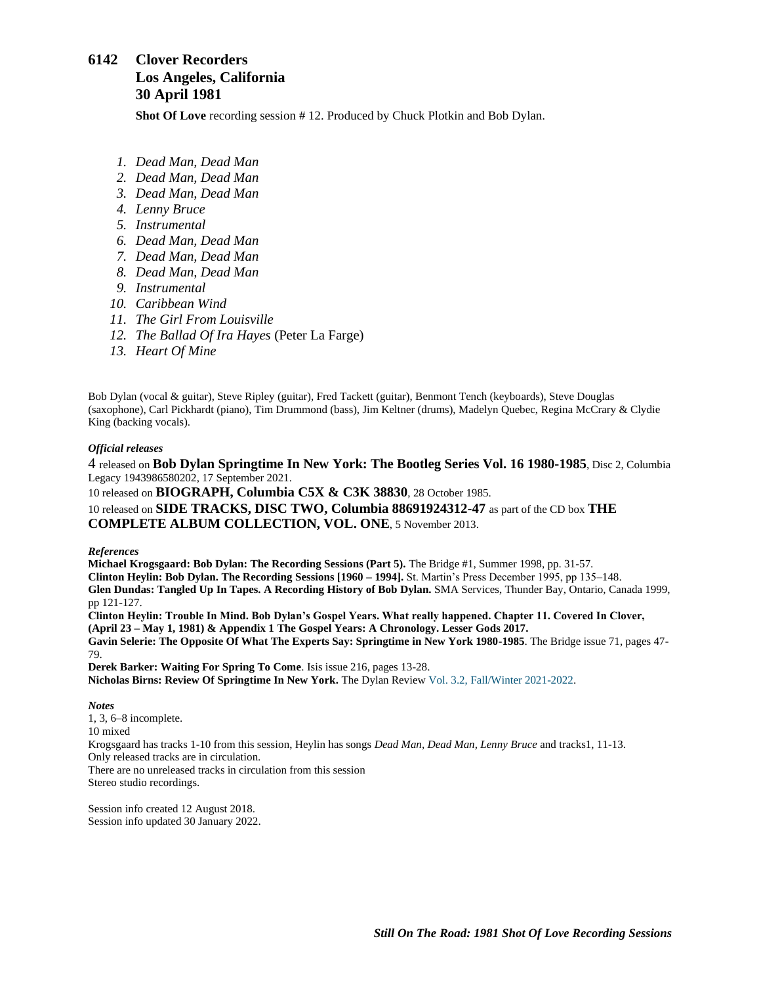## <span id="page-19-0"></span>**6142 Clover Recorders Los Angeles, California 30 April 1981**

**Shot Of Love** recording session # 12. Produced by Chuck Plotkin and Bob Dylan.

- *1. Dead Man, Dead Man*
- *2. Dead Man, Dead Man*
- *3. Dead Man, Dead Man*
- *4. Lenny Bruce*
- *5. Instrumental*
- *6. Dead Man, Dead Man*
- *7. Dead Man, Dead Man*
- *8. Dead Man, Dead Man*
- *9. Instrumental*
- *10. Caribbean Wind*
- *11. The Girl From Louisville*
- *12. The Ballad Of Ira Hayes* (Peter La Farge)
- *13. Heart Of Mine*

Bob Dylan (vocal & guitar), Steve Ripley (guitar), Fred Tackett (guitar), Benmont Tench (keyboards), Steve Douglas (saxophone), Carl Pickhardt (piano), Tim Drummond (bass), Jim Keltner (drums), Madelyn Quebec, Regina McCrary & Clydie King (backing vocals).

### *Official releases*

4 released on **Bob Dylan Springtime In New York: The Bootleg Series Vol. 16 1980-1985**, Disc 2, Columbia Legacy 1943986580202, 17 September 2021.

10 released on **BIOGRAPH, Columbia C5X & C3K 38830**, 28 October 1985. 10 released on **SIDE TRACKS, DISC TWO, Columbia 88691924312-47** as part of the CD box **THE COMPLETE ALBUM COLLECTION, VOL. ONE**, 5 November 2013.

### *References*

**Michael Krogsgaard: Bob Dylan: The Recording Sessions (Part 5).** The Bridge #1, Summer 1998, pp. 31-57. **Clinton Heylin: Bob Dylan. The Recording Sessions [1960 – 1994].** St. Martin's Press December 1995, pp 135–148. **Glen Dundas: Tangled Up In Tapes. A Recording History of Bob Dylan.** SMA Services, Thunder Bay, Ontario, Canada 1999, pp 121-127. **Clinton Heylin: Trouble In Mind. Bob Dylan's Gospel Years. What really happened. Chapter 11. Covered In Clover, (April 23 – May 1, 1981) & Appendix 1 The Gospel Years: A Chronology. Lesser Gods 2017. Gavin Selerie: The Opposite Of What The Experts Say: Springtime in New York 1980-1985**. The Bridge issue 71, pages 47- 79.

**Derek Barker: Waiting For Spring To Come**. Isis issue 216, pages 13-28. **Nicholas Birns: Review Of Springtime In New York.** The Dylan Review Vol. 3.2, [Fall/Winter](https://thedylanreview.org/category/dylan-review-fall-winter-2021-2022/) 2021-2022.

*Notes*

1, 3, 6–8 incomplete. 10 mixed Krogsgaard has tracks 1-10 from this session, Heylin has songs *Dead Man, Dead Man, Lenny Bruce* and tracks1, 11-13. Only released tracks are in circulation. There are no unreleased tracks in circulation from this session Stereo studio recordings.

Session info created 12 August 2018. Session info updated 30 January 2022.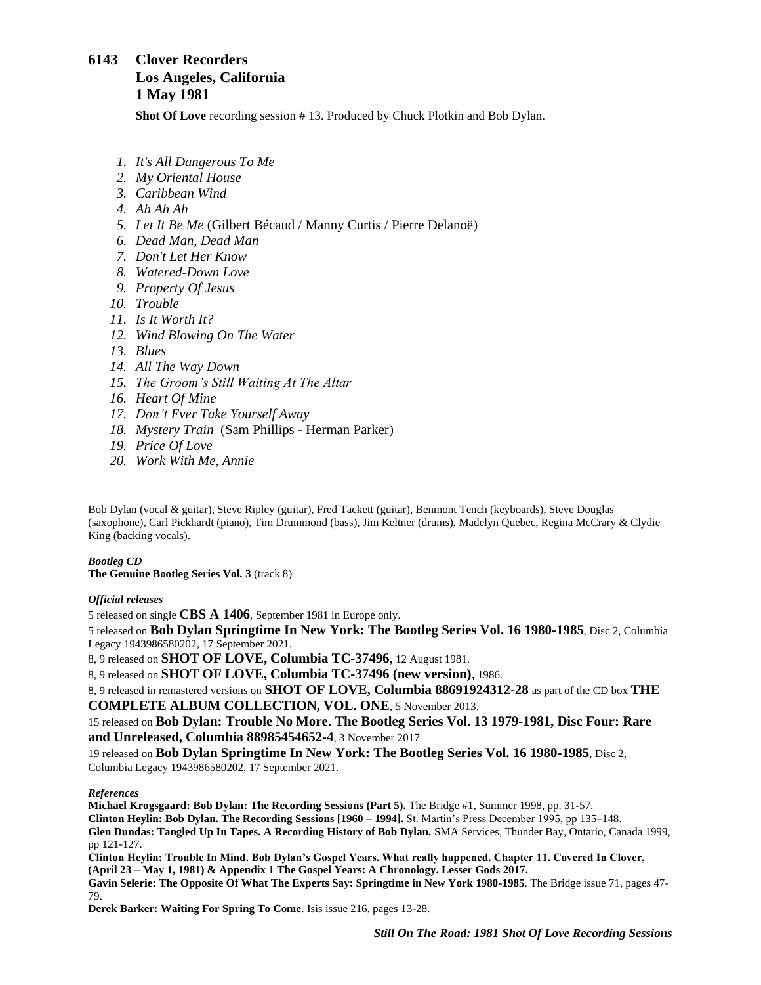## <span id="page-20-0"></span>**6143 Clover Recorders Los Angeles, California 1 May 1981**

**Shot Of Love** recording session #13. Produced by Chuck Plotkin and Bob Dylan.

- *1. It's All Dangerous To Me*
- *2. My Oriental House*
- *3. Caribbean Wind*
- *4. Ah Ah Ah*
- *5. Let It Be Me* (Gilbert Bécaud / Manny Curtis / Pierre Delanoë)
- *6. Dead Man, Dead Man*
- *7. Don't Let Her Know*
- *8. Watered-Down Love*
- *9. Property Of Jesus*
- *10. Trouble*
- *11. Is It Worth It?*
- *12. Wind Blowing On The Water*
- *13. Blues*
- *14. All The Way Down*
- *15. The Groom's Still Waiting At The Altar*
- *16. Heart Of Mine*
- *17. Don't Ever Take Yourself Away*
- *18. Mystery Train* (Sam Phillips Herman Parker)
- *19. Price Of Love*
- *20. Work With Me, Annie*

Bob Dylan (vocal & guitar), Steve Ripley (guitar), Fred Tackett (guitar), Benmont Tench (keyboards), Steve Douglas (saxophone), Carl Pickhardt (piano), Tim Drummond (bass), Jim Keltner (drums), Madelyn Quebec, Regina McCrary & Clydie King (backing vocals).

### *Bootleg CD*

**The Genuine Bootleg Series Vol. 3** (track 8)

### *Official releases*

5 released on single **CBS A 1406**, September 1981 in Europe only.

5 released on **Bob Dylan Springtime In New York: The Bootleg Series Vol. 16 1980-1985**, Disc 2, Columbia Legacy 1943986580202, 17 September 2021.

8, 9 released on **SHOT OF LOVE, Columbia TC-37496**, 12 August 1981.

8, 9 released on **SHOT OF LOVE, Columbia TC-37496 (new version)**, 1986.

8, 9 released in remastered versions on **SHOT OF LOVE, Columbia 88691924312-28** as part of the CD box **THE COMPLETE ALBUM COLLECTION, VOL. ONE**, 5 November 2013.

15 released on **Bob Dylan: Trouble No More. The Bootleg Series Vol. 13 1979-1981, Disc Four: Rare and Unreleased, Columbia 88985454652-4**, 3 November 2017

19 released on **Bob Dylan Springtime In New York: The Bootleg Series Vol. 16 1980-1985**, Disc 2, Columbia Legacy 1943986580202, 17 September 2021.

### *References*

**Michael Krogsgaard: Bob Dylan: The Recording Sessions (Part 5).** The Bridge #1, Summer 1998, pp. 31-57. **Clinton Heylin: Bob Dylan. The Recording Sessions [1960 – 1994].** St. Martin's Press December 1995, pp 135–148. **Glen Dundas: Tangled Up In Tapes. A Recording History of Bob Dylan.** SMA Services, Thunder Bay, Ontario, Canada 1999, pp 121-127.

**Clinton Heylin: Trouble In Mind. Bob Dylan's Gospel Years. What really happened. Chapter 11. Covered In Clover, (April 23 – May 1, 1981) & Appendix 1 The Gospel Years: A Chronology. Lesser Gods 2017.**

**Gavin Selerie: The Opposite Of What The Experts Say: Springtime in New York 1980-1985**. The Bridge issue 71, pages 47- 79.

**Derek Barker: Waiting For Spring To Come**. Isis issue 216, pages 13-28.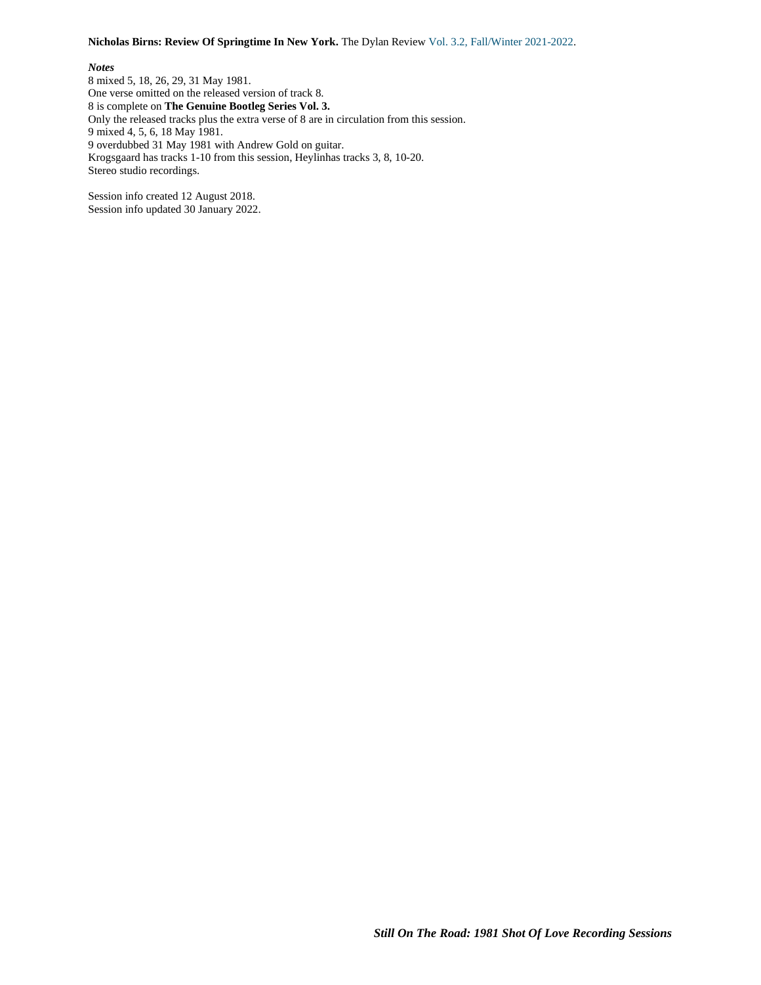#### **Nicholas Birns: Review Of Springtime In New York.** The Dylan Review Vol. 3.2, [Fall/Winter](https://thedylanreview.org/category/dylan-review-fall-winter-2021-2022/) 2021-2022.

#### *Notes*

8 mixed 5, 18, 26, 29, 31 May 1981. One verse omitted on the released version of track 8. 8 is complete on **The Genuine Bootleg Series Vol. 3.** Only the released tracks plus the extra verse of 8 are in circulation from this session. 9 mixed 4, 5, 6, 18 May 1981. 9 overdubbed 31 May 1981 with Andrew Gold on guitar. Krogsgaard has tracks 1-10 from this session, Heylinhas tracks 3, 8, 10-20. Stereo studio recordings.

Session info created 12 August 2018. Session info updated 30 January 2022.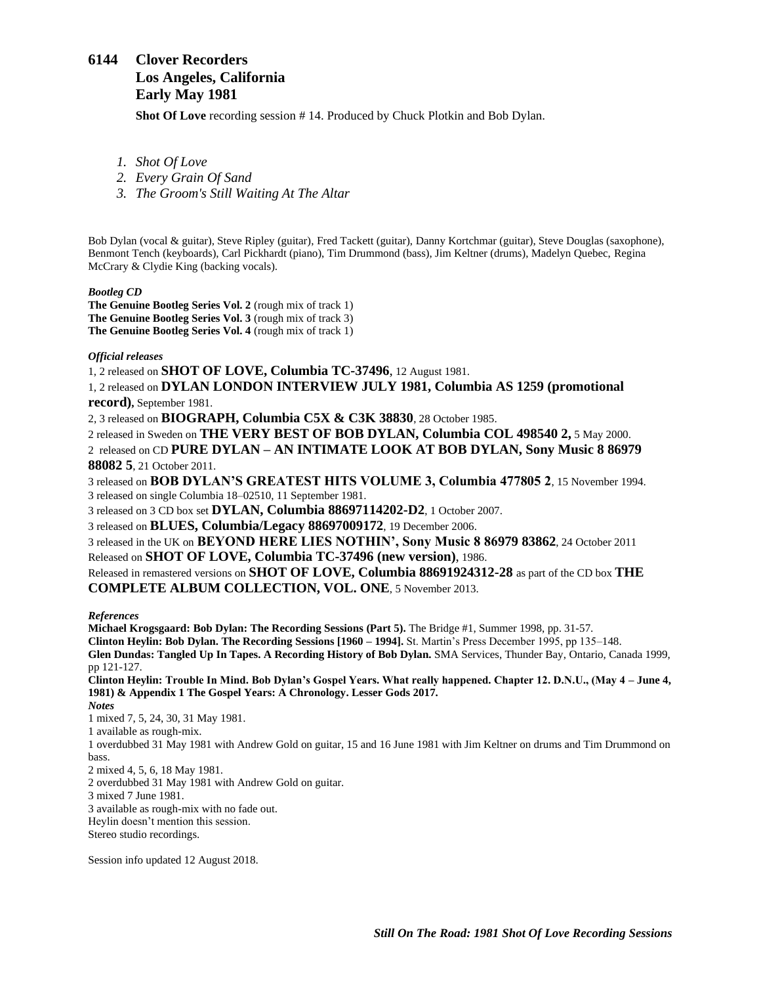## <span id="page-22-0"></span>**6144 Clover Recorders Los Angeles, California Early May 1981**

**Shot Of Love** recording session # 14. Produced by Chuck Plotkin and Bob Dylan.

*1. Shot Of Love*

*2. Every Grain Of Sand*

*3. The Groom's Still Waiting At The Altar*

Bob Dylan (vocal & guitar), Steve Ripley (guitar), Fred Tackett (guitar), Danny Kortchmar (guitar), Steve Douglas (saxophone), Benmont Tench (keyboards), Carl Pickhardt (piano), Tim Drummond (bass), Jim Keltner (drums), Madelyn Quebec, Regina McCrary & Clydie King (backing vocals).

*Bootleg CD*

**The Genuine Bootleg Series Vol. 2** (rough mix of track 1) **The Genuine Bootleg Series Vol. 3** (rough mix of track 3) **The Genuine Bootleg Series Vol. 4** (rough mix of track 1)

#### *Official releases*

1, 2 released on **SHOT OF LOVE, Columbia TC-37496**, 12 August 1981.

1, 2 released on **DYLAN LONDON INTERVIEW JULY 1981, Columbia AS 1259 (promotional record),** September 1981.

2, 3 released on **BIOGRAPH, Columbia C5X & C3K 38830**, 28 October 1985.

2 released in Sweden on **THE VERY BEST OF BOB DYLAN, Columbia COL 498540 2,** 5 May 2000. 2 released on CD **PURE DYLAN – AN INTIMATE LOOK AT BOB DYLAN, Sony Music 8 86979 88082 5**, 21 October 2011.

3 released on **BOB DYLAN'S GREATEST HITS VOLUME 3, Columbia 477805 2**, 15 November 1994. 3 released on single Columbia 18–02510, 11 September 1981.

3 released on 3 CD box set **DYLAN, Columbia 88697114202-D2**, 1 October 2007.

3 released on **BLUES, Columbia/Legacy 88697009172**, 19 December 2006.

3 released in the UK on **BEYOND HERE LIES NOTHIN', Sony Music 8 86979 83862**, 24 October 2011 Released on **SHOT OF LOVE, Columbia TC-37496 (new version)**, 1986.

Released in remastered versions on **SHOT OF LOVE, Columbia 88691924312-28** as part of the CD box **THE COMPLETE ALBUM COLLECTION, VOL. ONE**, 5 November 2013.

*References*

**Michael Krogsgaard: Bob Dylan: The Recording Sessions (Part 5).** The Bridge #1, Summer 1998, pp. 31-57. **Clinton Heylin: Bob Dylan. The Recording Sessions [1960 – 1994].** St. Martin's Press December 1995, pp 135–148. **Glen Dundas: Tangled Up In Tapes. A Recording History of Bob Dylan.** SMA Services, Thunder Bay, Ontario, Canada 1999, pp 121-127. **Clinton Heylin: Trouble In Mind. Bob Dylan's Gospel Years. What really happened. Chapter 12. D.N.U., (May 4 – June 4,** 

**1981) & Appendix 1 The Gospel Years: A Chronology. Lesser Gods 2017.** *Notes*

1 mixed 7, 5, 24, 30, 31 May 1981.

1 available as rough-mix.

1 overdubbed 31 May 1981 with Andrew Gold on guitar, 15 and 16 June 1981 with Jim Keltner on drums and Tim Drummond on bass.

2 mixed 4, 5, 6, 18 May 1981.

2 overdubbed 31 May 1981 with Andrew Gold on guitar.

3 mixed 7 June 1981.

3 available as rough-mix with no fade out.

Heylin doesn't mention this session.

Stereo studio recordings.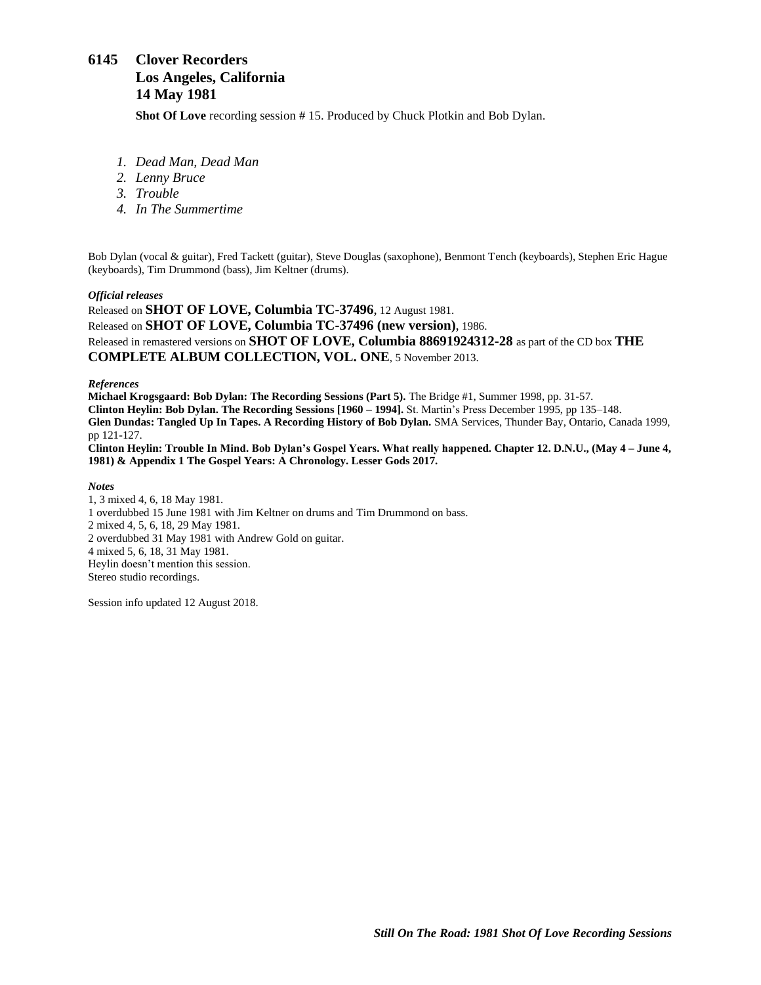# <span id="page-23-0"></span>**6145 Clover Recorders Los Angeles, California 14 May 1981**

**Shot Of Love** recording session # 15. Produced by Chuck Plotkin and Bob Dylan.

- *1. Dead Man, Dead Man*
- *2. Lenny Bruce*
- *3. Trouble*
- *4. In The Summertime*

Bob Dylan (vocal & guitar), Fred Tackett (guitar), Steve Douglas (saxophone), Benmont Tench (keyboards), Stephen Eric Hague (keyboards), Tim Drummond (bass), Jim Keltner (drums).

### *Official releases*

Released on **SHOT OF LOVE, Columbia TC-37496**, 12 August 1981. Released on **SHOT OF LOVE, Columbia TC-37496 (new version)**, 1986. Released in remastered versions on **SHOT OF LOVE, Columbia 88691924312-28** as part of the CD box **THE COMPLETE ALBUM COLLECTION, VOL. ONE**, 5 November 2013.

### *References*

**Michael Krogsgaard: Bob Dylan: The Recording Sessions (Part 5).** The Bridge #1, Summer 1998, pp. 31-57. **Clinton Heylin: Bob Dylan. The Recording Sessions [1960 – 1994].** St. Martin's Press December 1995, pp 135–148. **Glen Dundas: Tangled Up In Tapes. A Recording History of Bob Dylan.** SMA Services, Thunder Bay, Ontario, Canada 1999, pp 121-127. **Clinton Heylin: Trouble In Mind. Bob Dylan's Gospel Years. What really happened. Chapter 12. D.N.U., (May 4 – June 4,** 

**1981) & Appendix 1 The Gospel Years: A Chronology. Lesser Gods 2017.**

*Notes*

1, 3 mixed 4, 6, 18 May 1981. 1 overdubbed 15 June 1981 with Jim Keltner on drums and Tim Drummond on bass. 2 mixed 4, 5, 6, 18, 29 May 1981. 2 overdubbed 31 May 1981 with Andrew Gold on guitar. 4 mixed 5, 6, 18, 31 May 1981. Heylin doesn't mention this session. Stereo studio recordings.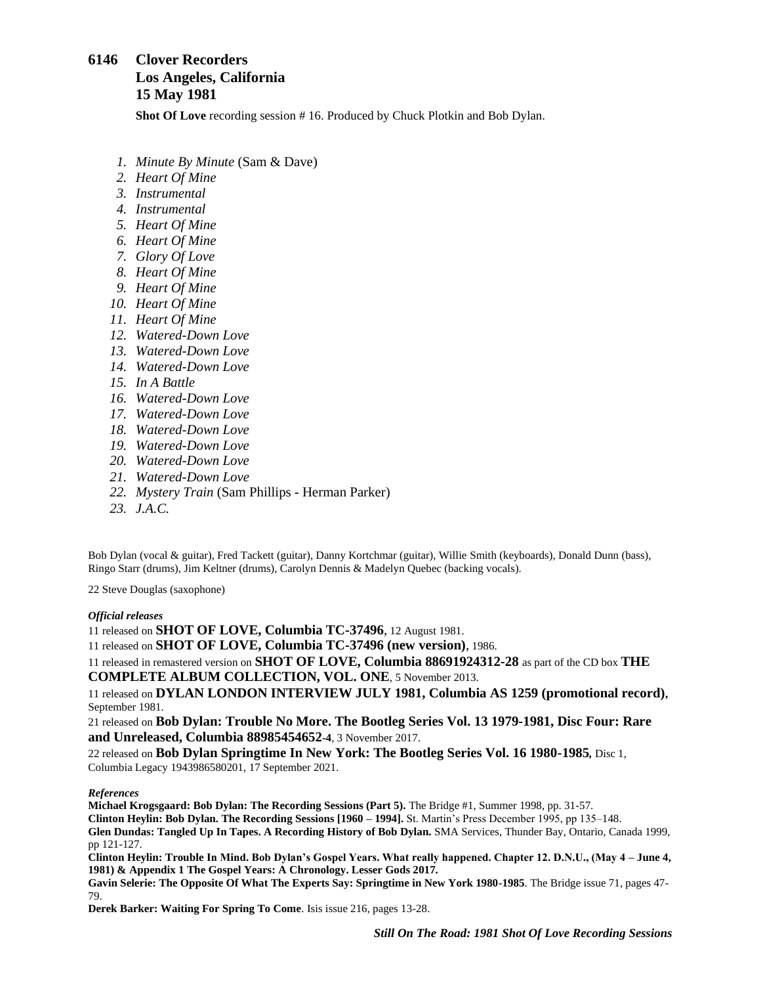# <span id="page-24-0"></span>**6146 Clover Recorders Los Angeles, California 15 May 1981**

**Shot Of Love** recording session # 16. Produced by Chuck Plotkin and Bob Dylan.

- *1. Minute By Minute* (Sam & Dave)
- *2. Heart Of Mine*
- *3. Instrumental*
- *4. Instrumental*
- *5. Heart Of Mine*
- *6. Heart Of Mine*
- *7. Glory Of Love*
- *8. Heart Of Mine*
- *9. Heart Of Mine*
- *10. Heart Of Mine*
- *11. Heart Of Mine*
- *12. Watered-Down Love*
- *13. Watered-Down Love*
- *14. Watered-Down Love*
- *15. In A Battle*
- *16. Watered-Down Love*
- *17. Watered-Down Love*
- *18. Watered-Down Love*
- *19. Watered-Down Love*
- *20. Watered-Down Love*
- *21. Watered-Down Love*
- *22. Mystery Train* (Sam Phillips Herman Parker)
- *23. J.A.C.*

Bob Dylan (vocal & guitar), Fred Tackett (guitar), Danny Kortchmar (guitar), Willie Smith (keyboards), Donald Dunn (bass), Ringo Starr (drums), Jim Keltner (drums), Carolyn Dennis & Madelyn Quebec (backing vocals).

22 Steve Douglas (saxophone)

### *Official releases*

11 released on **SHOT OF LOVE, Columbia TC-37496**, 12 August 1981.

11 released on **SHOT OF LOVE, Columbia TC-37496 (new version)**, 1986.

11 released in remastered version on **SHOT OF LOVE, Columbia 88691924312-28** as part of the CD box **THE COMPLETE ALBUM COLLECTION, VOL. ONE**, 5 November 2013.

11 released on **DYLAN LONDON INTERVIEW JULY 1981, Columbia AS 1259 (promotional record),** September 1981.

21 released on **Bob Dylan: Trouble No More. The Bootleg Series Vol. 13 1979-1981, Disc Four: Rare and Unreleased, Columbia 88985454652-4**, 3 November 2017.

22 released on **Bob Dylan Springtime In New York: The Bootleg Series Vol. 16 1980-1985***,* Disc 1, Columbia Legacy 1943986580201, 17 September 2021.

### *References*

**Michael Krogsgaard: Bob Dylan: The Recording Sessions (Part 5).** The Bridge #1, Summer 1998, pp. 31-57. **Clinton Heylin: Bob Dylan. The Recording Sessions [1960 – 1994].** St. Martin's Press December 1995, pp 135–148. **Glen Dundas: Tangled Up In Tapes. A Recording History of Bob Dylan.** SMA Services, Thunder Bay, Ontario, Canada 1999, pp 121-127.

**Clinton Heylin: Trouble In Mind. Bob Dylan's Gospel Years. What really happened. Chapter 12. D.N.U., (May 4 – June 4, 1981) & Appendix 1 The Gospel Years: A Chronology. Lesser Gods 2017.**

**Gavin Selerie: The Opposite Of What The Experts Say: Springtime in New York 1980-1985**. The Bridge issue 71, pages 47- 79.

**Derek Barker: Waiting For Spring To Come**. Isis issue 216, pages 13-28.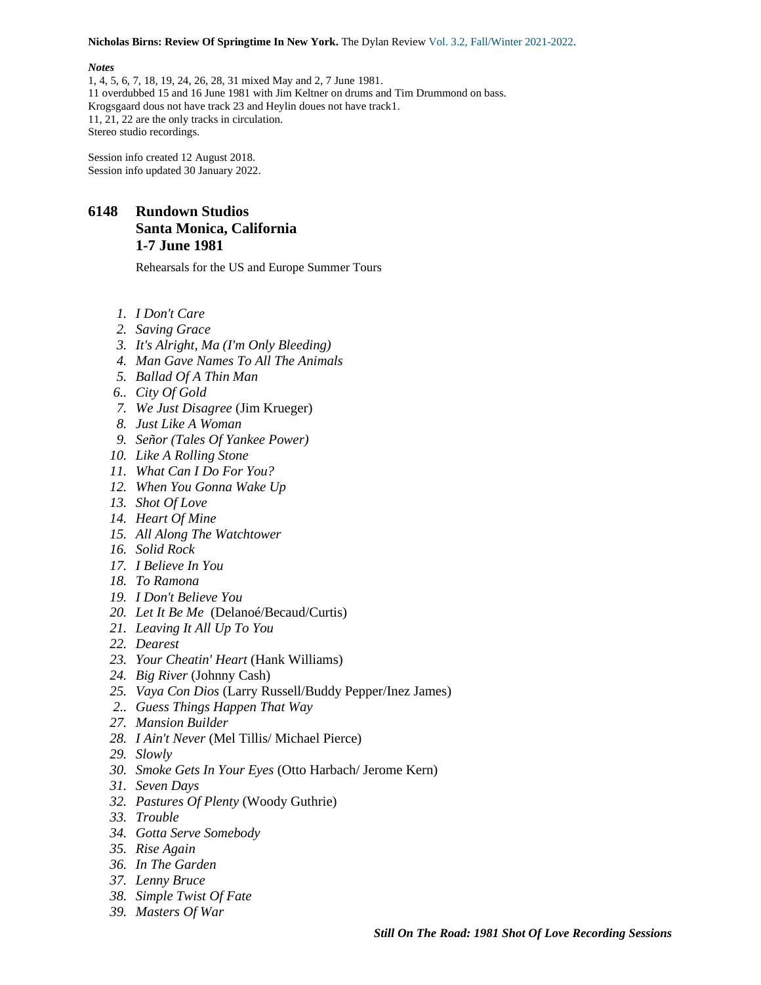**Nicholas Birns: Review Of Springtime In New York.** The Dylan Review Vol. 3.2, [Fall/Winter](https://thedylanreview.org/category/dylan-review-fall-winter-2021-2022/) 2021-2022.

#### *Notes*

1, 4, 5, 6, 7, 18, 19, 24, 26, 28, 31 mixed May and 2, 7 June 1981. 11 overdubbed 15 and 16 June 1981 with Jim Keltner on drums and Tim Drummond on bass. Krogsgaard dous not have track 23 and Heylin doues not have track1. 11, 21, 22 are the only tracks in circulation. Stereo studio recordings.

Session info created 12 August 2018. Session info updated 30 January 2022.

## **6148 Rundown Studios Santa Monica, California 1-7 June 1981**

Rehearsals for the US and Europe Summer Tours

- *1. I Don't Care*
- *2. Saving Grace*
- *3. It's Alright, Ma (I'm Only Bleeding)*
- *4. Man Gave Names To All The Animals*
- *5. Ballad Of A Thin Man*
- *6.. City Of Gold*
- *7. We Just Disagree* (Jim Krueger)
- *8. Just Like A Woman*
- *9. Señor (Tales Of Yankee Power)*
- *10. Like A Rolling Stone*
- *11. What Can I Do For You?*
- *12. When You Gonna Wake Up*
- *13. Shot Of Love*
- *14. Heart Of Mine*
- *15. All Along The Watchtower*
- *16. Solid Rock*
- *17. I Believe In You*
- *18. To Ramona*
- *19. I Don't Believe You*
- *20. Let It Be Me* (Delanoé/Becaud/Curtis)
- *21. Leaving It All Up To You*
- *22. Dearest*
- *23. Your Cheatin' Heart* (Hank Williams)
- *24. Big River* (Johnny Cash)
- *25. Vaya Con Dios* (Larry Russell/Buddy Pepper/Inez James)
- *2.. Guess Things Happen That Way*
- *27. Mansion Builder*
- *28. I Ain't Never* (Mel Tillis/ Michael Pierce)
- *29. Slowly*
- *30. Smoke Gets In Your Eyes* (Otto Harbach/ Jerome Kern)
- *31. Seven Days*
- *32. Pastures Of Plenty* (Woody Guthrie)
- *33. Trouble*
- *34. Gotta Serve Somebody*
- *35. Rise Again*
- *36. In The Garden*
- *37. Lenny Bruce*
- *38. Simple Twist Of Fate*
- *39. Masters Of War*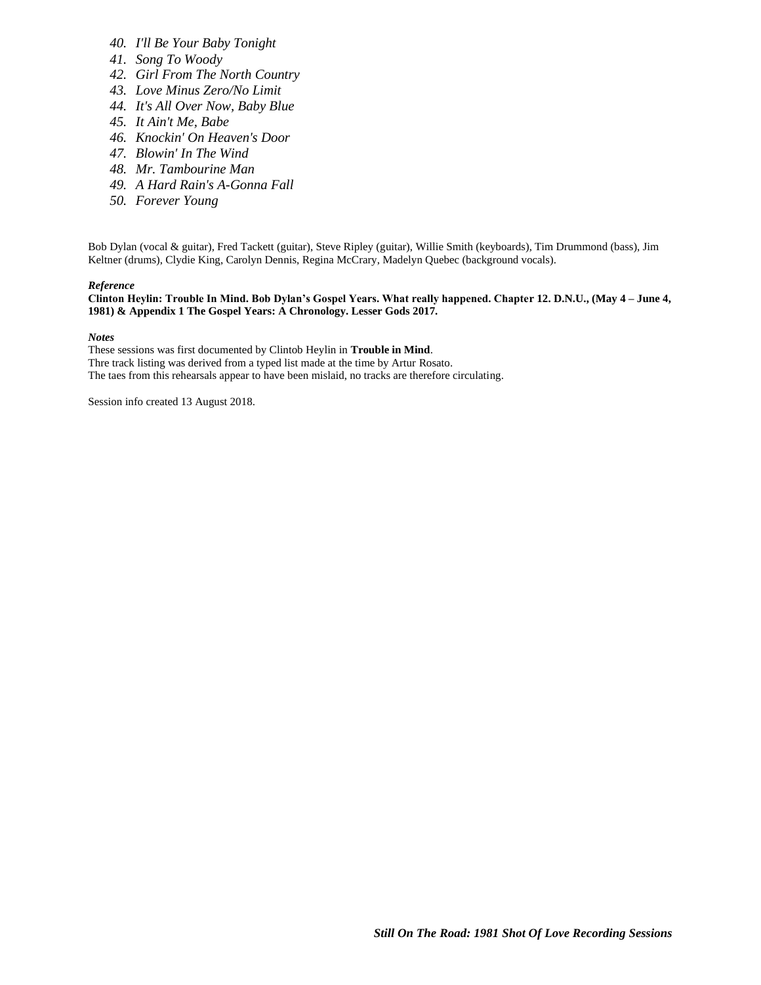- *40. I'll Be Your Baby Tonight*
- *41. Song To Woody*
- *42. Girl From The North Country*
- *43. Love Minus Zero/No Limit*
- *44. It's All Over Now, Baby Blue*
- *45. It Ain't Me, Babe*
- *46. Knockin' On Heaven's Door*
- *47. Blowin' In The Wind*
- *48. Mr. Tambourine Man*
- *49. A Hard Rain's A-Gonna Fall*
- *50. Forever Young*

Bob Dylan (vocal & guitar), Fred Tackett (guitar), Steve Ripley (guitar), Willie Smith (keyboards), Tim Drummond (bass), Jim Keltner (drums), Clydie King, Carolyn Dennis, Regina McCrary, Madelyn Quebec (background vocals).

#### *Reference*

**Clinton Heylin: Trouble In Mind. Bob Dylan's Gospel Years. What really happened. Chapter 12. D.N.U., (May 4 – June 4, 1981) & Appendix 1 The Gospel Years: A Chronology. Lesser Gods 2017.**

*Notes*

These sessions was first documented by Clintob Heylin in **Trouble in Mind**.

Thre track listing was derived from a typed list made at the time by Artur Rosato.

The taes from this rehearsals appear to have been mislaid, no tracks are therefore circulating.

Session info created 13 August 2018.